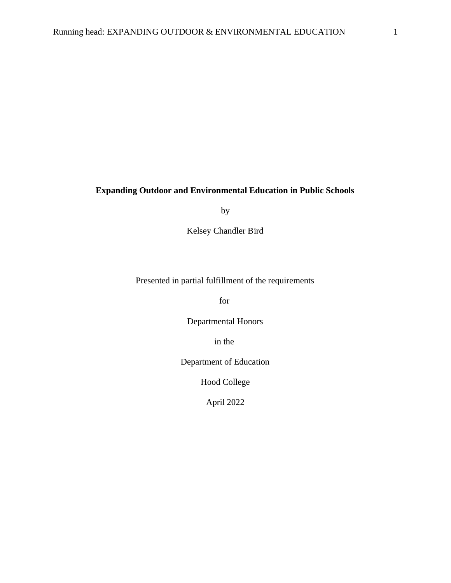## **Expanding Outdoor and Environmental Education in Public Schools**

by

Kelsey Chandler Bird

Presented in partial fulfillment of the requirements

for

Departmental Honors

in the

Department of Education

Hood College

April 2022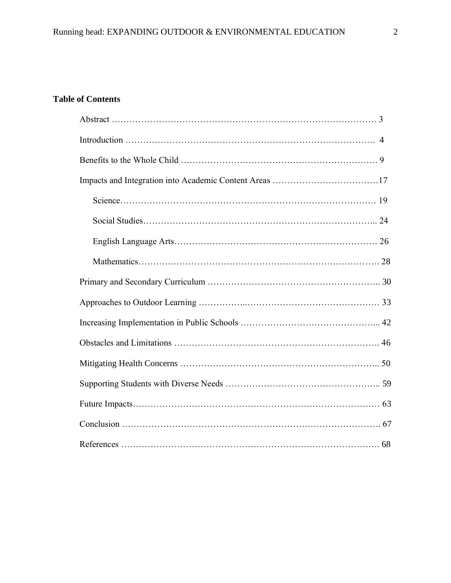# **Table of Contents**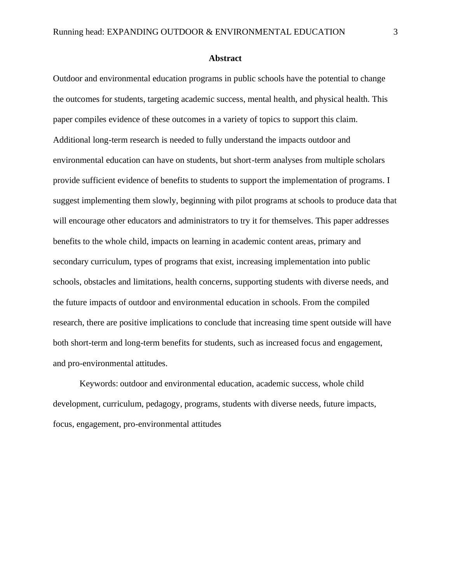#### **Abstract**

Outdoor and environmental education programs in public schools have the potential to change the outcomes for students, targeting academic success, mental health, and physical health. This paper compiles evidence of these outcomes in a variety of topics to support this claim. Additional long-term research is needed to fully understand the impacts outdoor and environmental education can have on students, but short-term analyses from multiple scholars provide sufficient evidence of benefits to students to support the implementation of programs. I suggest implementing them slowly, beginning with pilot programs at schools to produce data that will encourage other educators and administrators to try it for themselves. This paper addresses benefits to the whole child, impacts on learning in academic content areas, primary and secondary curriculum, types of programs that exist, increasing implementation into public schools, obstacles and limitations, health concerns, supporting students with diverse needs, and the future impacts of outdoor and environmental education in schools. From the compiled research, there are positive implications to conclude that increasing time spent outside will have both short-term and long-term benefits for students, such as increased focus and engagement, and pro-environmental attitudes.

Keywords: outdoor and environmental education, academic success, whole child development, curriculum, pedagogy, programs, students with diverse needs, future impacts, focus, engagement, pro-environmental attitudes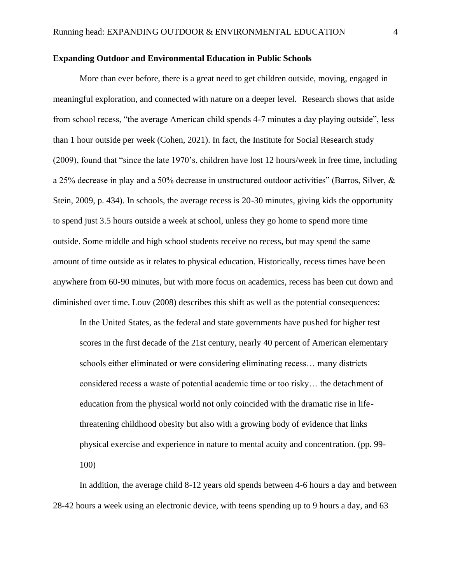#### **Expanding Outdoor and Environmental Education in Public Schools**

More than ever before, there is a great need to get children outside, moving, engaged in meaningful exploration, and connected with nature on a deeper level. Research shows that aside from school recess, "the average American child spends 4-7 minutes a day playing outside", less than 1 hour outside per week (Cohen, 2021). In fact, the Institute for Social Research study (2009), found that "since the late 1970's, children have lost 12 hours/week in free time, including a 25% decrease in play and a 50% decrease in unstructured outdoor activities" (Barros, Silver, & Stein, 2009, p. 434). In schools, the average recess is 20-30 minutes, giving kids the opportunity to spend just 3.5 hours outside a week at school, unless they go home to spend more time outside. Some middle and high school students receive no recess, but may spend the same amount of time outside as it relates to physical education. Historically, recess times have be en anywhere from 60-90 minutes, but with more focus on academics, recess has been cut down and diminished over time. Louv (2008) describes this shift as well as the potential consequences:

In the United States, as the federal and state governments have pushed for higher test scores in the first decade of the 21st century, nearly 40 percent of American elementary schools either eliminated or were considering eliminating recess… many districts considered recess a waste of potential academic time or too risky… the detachment of education from the physical world not only coincided with the dramatic rise in lifethreatening childhood obesity but also with a growing body of evidence that links physical exercise and experience in nature to mental acuity and concentration. (pp. 99- 100)

In addition, the average child 8-12 years old spends between 4-6 hours a day and between 28-42 hours a week using an electronic device, with teens spending up to 9 hours a day, and 63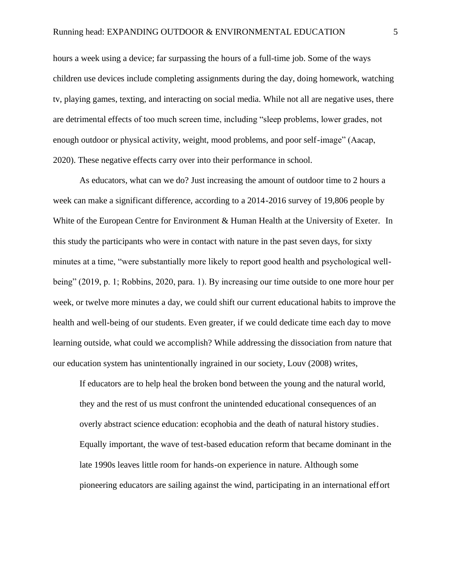hours a week using a device; far surpassing the hours of a full-time job. Some of the ways children use devices include completing assignments during the day, doing homework, watching tv, playing games, texting, and interacting on social media. While not all are negative uses, there are detrimental effects of too much screen time, including "sleep problems, lower grades, not enough outdoor or physical activity, weight, mood problems, and poor self-image" (Aacap, 2020). These negative effects carry over into their performance in school.

As educators, what can we do? Just increasing the amount of outdoor time to 2 hours a week can make a significant difference, according to a 2014-2016 survey of 19,806 people by White of the European Centre for Environment & Human Health at the University of Exeter. In this study the participants who were in contact with nature in the past seven days, for sixty minutes at a time, "were substantially more likely to report good health and psychological wellbeing" (2019, p. 1; Robbins, 2020, para. 1). By increasing our time outside to one more hour per week, or twelve more minutes a day, we could shift our current educational habits to improve the health and well-being of our students. Even greater, if we could dedicate time each day to move learning outside, what could we accomplish? While addressing the dissociation from nature that our education system has unintentionally ingrained in our society, Louv (2008) writes,

If educators are to help heal the broken bond between the young and the natural world, they and the rest of us must confront the unintended educational consequences of an overly abstract science education: ecophobia and the death of natural history studies. Equally important, the wave of test-based education reform that became dominant in the late 1990s leaves little room for hands-on experience in nature. Although some pioneering educators are sailing against the wind, participating in an international effort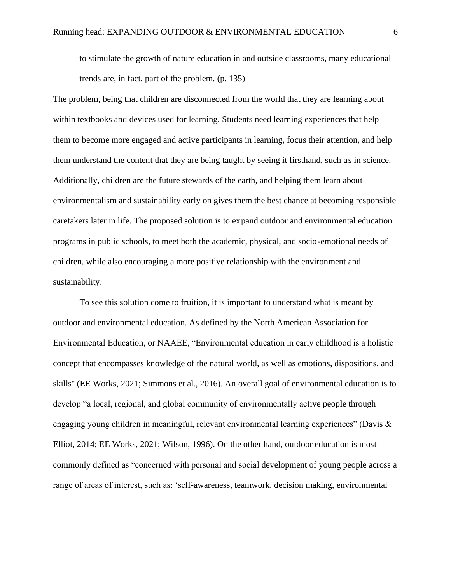to stimulate the growth of nature education in and outside classrooms, many educational trends are, in fact, part of the problem. (p. 135)

The problem, being that children are disconnected from the world that they are learning about within textbooks and devices used for learning. Students need learning experiences that help them to become more engaged and active participants in learning, focus their attention, and help them understand the content that they are being taught by seeing it firsthand, such as in science. Additionally, children are the future stewards of the earth, and helping them learn about environmentalism and sustainability early on gives them the best chance at becoming responsible caretakers later in life. The proposed solution is to expand outdoor and environmental education programs in public schools, to meet both the academic, physical, and socio-emotional needs of children, while also encouraging a more positive relationship with the environment and sustainability.

To see this solution come to fruition, it is important to understand what is meant by outdoor and environmental education. As defined by the North American Association for Environmental Education, or NAAEE, "Environmental education in early childhood is a holistic concept that encompasses knowledge of the natural world, as well as emotions, dispositions, and skills'' (EE Works, 2021; Simmons et al., 2016). An overall goal of environmental education is to develop "a local, regional, and global community of environmentally active people through engaging young children in meaningful, relevant environmental learning experiences" (Davis & Elliot, 2014; EE Works, 2021; Wilson, 1996). On the other hand, outdoor education is most commonly defined as "concerned with personal and social development of young people across a range of areas of interest, such as: 'self-awareness, teamwork, decision making, environmental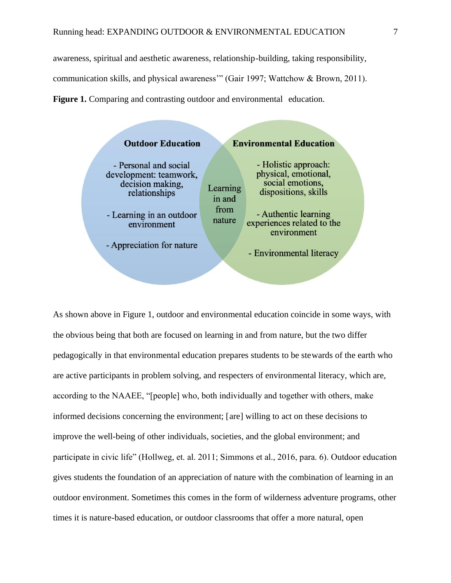awareness, spiritual and aesthetic awareness, relationship-building, taking responsibility, communication skills, and physical awareness'" (Gair 1997; Wattchow & Brown, 2011). **Figure 1.** Comparing and contrasting outdoor and environmental education.

| <b>Outdoor Education</b> |                                                                                      | <b>Environmental Education</b> |                                                                                          |  |  |
|--------------------------|--------------------------------------------------------------------------------------|--------------------------------|------------------------------------------------------------------------------------------|--|--|
|                          | - Personal and social<br>development: teamwork,<br>decision making,<br>relationships | Learning<br>in and             | - Holistic approach:<br>physical, emotional,<br>social emotions,<br>dispositions, skills |  |  |
|                          | - Learning in an outdoor<br>environment                                              | from<br>nature                 | - Authentic learning<br>experiences related to the<br>environment                        |  |  |
|                          | - Appreciation for nature                                                            |                                | - Environmental literacy                                                                 |  |  |
|                          |                                                                                      |                                |                                                                                          |  |  |

As shown above in Figure 1, outdoor and environmental education coincide in some ways, with the obvious being that both are focused on learning in and from nature, but the two differ pedagogically in that environmental education prepares students to be stewards of the earth who are active participants in problem solving, and respecters of environmental literacy, which are, according to the NAAEE, "[people] who, both individually and together with others, make informed decisions concerning the environment; [are] willing to act on these decisions to improve the well-being of other individuals, societies, and the global environment; and participate in civic life" (Hollweg, et. al. 2011; Simmons et al., 2016, para. 6). Outdoor education gives students the foundation of an appreciation of nature with the combination of learning in an outdoor environment. Sometimes this comes in the form of wilderness adventure programs, other times it is nature-based education, or outdoor classrooms that offer a more natural, open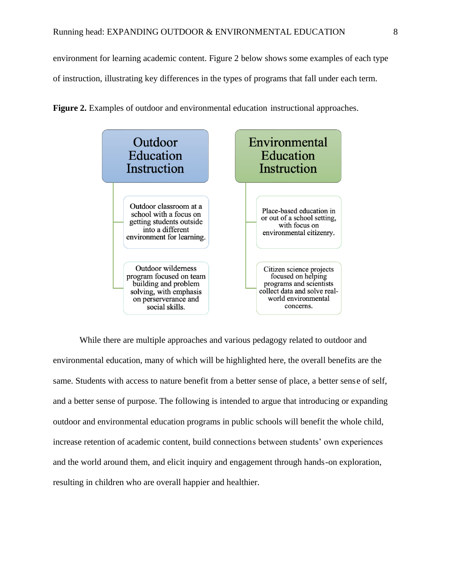environment for learning academic content. Figure 2 below shows some examples of each type of instruction, illustrating key differences in the types of programs that fall under each term.



**Figure 2.** Examples of outdoor and environmental education instructional approaches.

While there are multiple approaches and various pedagogy related to outdoor and environmental education, many of which will be highlighted here, the overall benefits are the same. Students with access to nature benefit from a better sense of place, a better sense of self, and a better sense of purpose. The following is intended to argue that introducing or expanding outdoor and environmental education programs in public schools will benefit the whole child, increase retention of academic content, build connections between students' own experiences and the world around them, and elicit inquiry and engagement through hands-on exploration, resulting in children who are overall happier and healthier.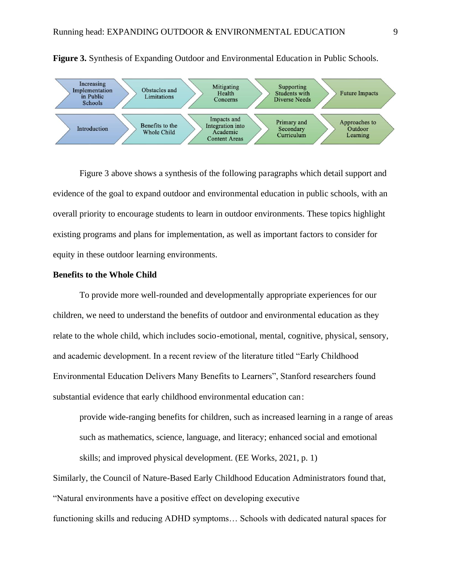



Figure 3 above shows a synthesis of the following paragraphs which detail support and evidence of the goal to expand outdoor and environmental education in public schools, with an overall priority to encourage students to learn in outdoor environments. These topics highlight existing programs and plans for implementation, as well as important factors to consider for equity in these outdoor learning environments.

#### **Benefits to the Whole Child**

To provide more well-rounded and developmentally appropriate experiences for our children, we need to understand the benefits of outdoor and environmental education as they relate to the whole child, which includes socio-emotional, mental, cognitive, physical, sensory, and academic development. In a recent review of the literature titled "Early Childhood Environmental Education Delivers Many Benefits to Learners", Stanford researchers found substantial evidence that early childhood environmental education can:

provide wide-ranging benefits for children, such as increased learning in a range of areas such as mathematics, science, language, and literacy; enhanced social and emotional skills; and improved physical development. (EE Works, 2021, p. 1)

Similarly, the Council of Nature-Based Early Childhood Education Administrators found that, "Natural environments have a positive effect on developing executive functioning skills and reducing ADHD symptoms… Schools with dedicated natural spaces for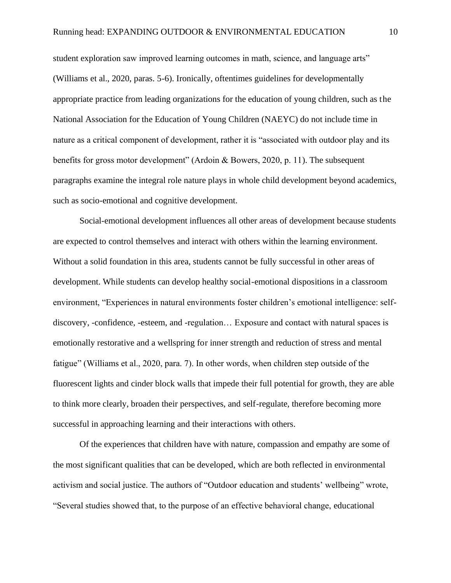student exploration saw improved learning outcomes in math, science, and language arts" (Williams et al., 2020, paras. 5-6). Ironically, oftentimes guidelines for developmentally appropriate practice from leading organizations for the education of young children, such as the National Association for the Education of Young Children (NAEYC) do not include time in nature as a critical component of development, rather it is "associated with outdoor play and its benefits for gross motor development" (Ardoin & Bowers, 2020, p. 11). The subsequent paragraphs examine the integral role nature plays in whole child development beyond academics, such as socio-emotional and cognitive development.

Social-emotional development influences all other areas of development because students are expected to control themselves and interact with others within the learning environment. Without a solid foundation in this area, students cannot be fully successful in other areas of development. While students can develop healthy social-emotional dispositions in a classroom environment, "Experiences in natural environments foster children's emotional intelligence: selfdiscovery, -confidence, -esteem, and -regulation… Exposure and contact with natural spaces is emotionally restorative and a wellspring for inner strength and reduction of stress and mental fatigue" (Williams et al., 2020, para. 7). In other words, when children step outside of the fluorescent lights and cinder block walls that impede their full potential for growth, they are able to think more clearly, broaden their perspectives, and self-regulate, therefore becoming more successful in approaching learning and their interactions with others.

Of the experiences that children have with nature, compassion and empathy are some of the most significant qualities that can be developed, which are both reflected in environmental activism and social justice. The authors of "Outdoor education and students' wellbeing" wrote, "Several studies showed that, to the purpose of an effective behavioral change, educational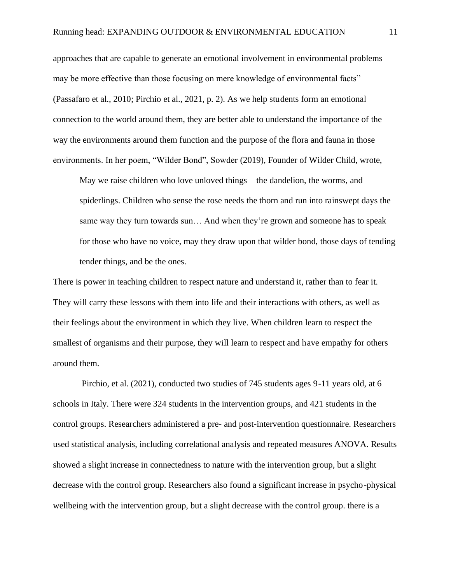approaches that are capable to generate an emotional involvement in environmental problems may be more effective than those focusing on mere knowledge of environmental facts" (Passafaro et al., 2010; Pirchio et al., 2021, p. 2). As we help students form an emotional connection to the world around them, they are better able to understand the importance of the way the environments around them function and the purpose of the flora and fauna in those environments. In her poem, "Wilder Bond", Sowder (2019), Founder of Wilder Child, wrote,

May we raise children who love unloved things – the dandelion, the worms, and spiderlings. Children who sense the rose needs the thorn and run into rainswept days the same way they turn towards sun… And when they're grown and someone has to speak for those who have no voice, may they draw upon that wilder bond, those days of tending tender things, and be the ones.

There is power in teaching children to respect nature and understand it, rather than to fear it. They will carry these lessons with them into life and their interactions with others, as well as their feelings about the environment in which they live. When children learn to respect the smallest of organisms and their purpose, they will learn to respect and have empathy for others around them.

Pirchio, et al. (2021), conducted two studies of 745 students ages 9-11 years old, at 6 schools in Italy. There were 324 students in the intervention groups, and 421 students in the control groups. Researchers administered a pre- and post-intervention questionnaire. Researchers used statistical analysis, including correlational analysis and repeated measures ANOVA. Results showed a slight increase in connectedness to nature with the intervention group, but a slight decrease with the control group. Researchers also found a significant increase in psycho-physical wellbeing with the intervention group, but a slight decrease with the control group. there is a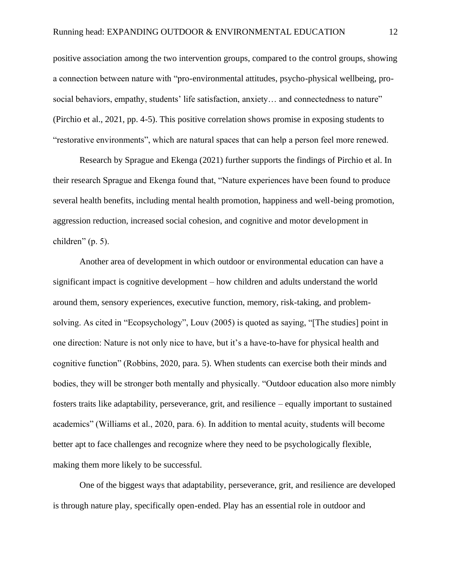positive association among the two intervention groups, compared to the control groups, showing a connection between nature with "pro-environmental attitudes, psycho-physical wellbeing, prosocial behaviors, empathy, students' life satisfaction, anxiety… and connectedness to nature" (Pirchio et al., 2021, pp. 4-5). This positive correlation shows promise in exposing students to "restorative environments", which are natural spaces that can help a person feel more renewed.

Research by Sprague and Ekenga (2021) further supports the findings of Pirchio et al. In their research Sprague and Ekenga found that, "Nature experiences have been found to produce several health benefits, including mental health promotion, happiness and well-being promotion, aggression reduction, increased social cohesion, and cognitive and motor development in children" (p. 5).

Another area of development in which outdoor or environmental education can have a significant impact is cognitive development – how children and adults understand the world around them, sensory experiences, executive function, memory, risk-taking, and problemsolving. As cited in "Ecopsychology", Louv (2005) is quoted as saying, "[The studies] point in one direction: Nature is not only nice to have, but it's a have-to-have for physical health and cognitive function" (Robbins, 2020, para. 5). When students can exercise both their minds and bodies, they will be stronger both mentally and physically. "Outdoor education also more nimbly fosters traits like adaptability, perseverance, grit, and resilience – equally important to sustained academics" (Williams et al., 2020, para. 6). In addition to mental acuity, students will become better apt to face challenges and recognize where they need to be psychologically flexible, making them more likely to be successful.

One of the biggest ways that adaptability, perseverance, grit, and resilience are developed is through nature play, specifically open-ended. Play has an essential role in outdoor and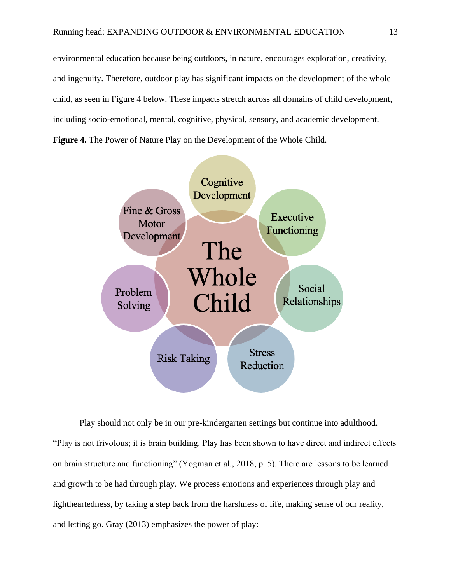environmental education because being outdoors, in nature, encourages exploration, creativity, and ingenuity. Therefore, outdoor play has significant impacts on the development of the whole child, as seen in Figure 4 below. These impacts stretch across all domains of child development, including socio-emotional, mental, cognitive, physical, sensory, and academic development. **Figure 4.** The Power of Nature Play on the Development of the Whole Child.



Play should not only be in our pre-kindergarten settings but continue into adulthood. "Play is not frivolous; it is brain building. Play has been shown to have direct and indirect effects on brain structure and functioning" (Yogman et al., 2018, p. 5). There are lessons to be learned and growth to be had through play. We process emotions and experiences through play and lightheartedness, by taking a step back from the harshness of life, making sense of our reality, and letting go. Gray (2013) emphasizes the power of play: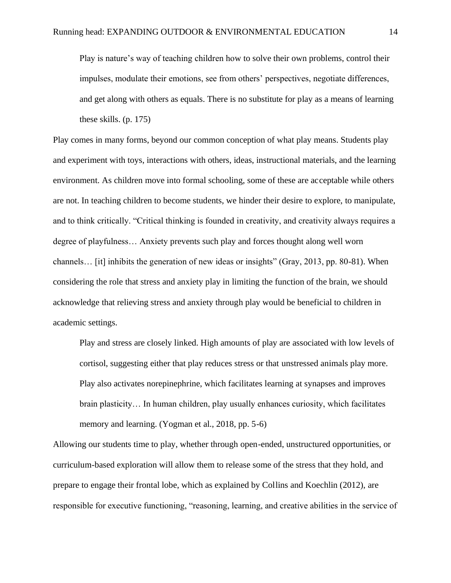Play is nature's way of teaching children how to solve their own problems, control their impulses, modulate their emotions, see from others' perspectives, negotiate differences, and get along with others as equals. There is no substitute for play as a means of learning these skills. (p. 175)

Play comes in many forms, beyond our common conception of what play means. Students play and experiment with toys, interactions with others, ideas, instructional materials, and the learning environment. As children move into formal schooling, some of these are acceptable while others are not. In teaching children to become students, we hinder their desire to explore, to manipulate, and to think critically. "Critical thinking is founded in creativity, and creativity always requires a degree of playfulness… Anxiety prevents such play and forces thought along well worn channels… [it] inhibits the generation of new ideas or insights" (Gray, 2013, pp. 80-81). When considering the role that stress and anxiety play in limiting the function of the brain, we should acknowledge that relieving stress and anxiety through play would be beneficial to children in academic settings.

Play and stress are closely linked. High amounts of play are associated with low levels of cortisol, suggesting either that play reduces stress or that unstressed animals play more. Play also activates norepinephrine, which facilitates learning at synapses and improves brain plasticity… In human children, play usually enhances curiosity, which facilitates memory and learning. (Yogman et al., 2018, pp. 5-6)

Allowing our students time to play, whether through open-ended, unstructured opportunities, or curriculum-based exploration will allow them to release some of the stress that they hold, and prepare to engage their frontal lobe, which as explained by Collins and Koechlin (2012), are responsible for executive functioning, "reasoning, learning, and creative abilities in the service of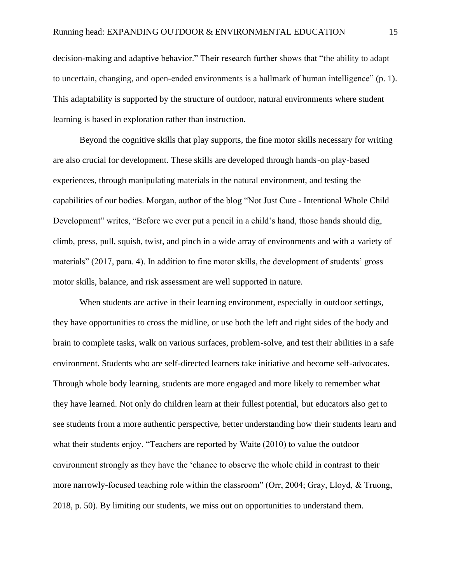decision-making and adaptive behavior." Their research further shows that "the ability to adapt to uncertain, changing, and open-ended environments is a hallmark of human intelligence" (p. 1). This adaptability is supported by the structure of outdoor, natural environments where student learning is based in exploration rather than instruction.

Beyond the cognitive skills that play supports, the fine motor skills necessary for writing are also crucial for development. These skills are developed through hands-on play-based experiences, through manipulating materials in the natural environment, and testing the capabilities of our bodies. Morgan, author of the blog "Not Just Cute - Intentional Whole Child Development" writes, "Before we ever put a pencil in a child's hand, those hands should dig, climb, press, pull, squish, twist, and pinch in a wide array of environments and with a variety of materials" (2017, para. 4). In addition to fine motor skills, the development of students' gross motor skills, balance, and risk assessment are well supported in nature.

When students are active in their learning environment, especially in outdoor settings, they have opportunities to cross the midline, or use both the left and right sides of the body and brain to complete tasks, walk on various surfaces, problem-solve, and test their abilities in a safe environment. Students who are self-directed learners take initiative and become self-advocates. Through whole body learning, students are more engaged and more likely to remember what they have learned. Not only do children learn at their fullest potential, but educators also get to see students from a more authentic perspective, better understanding how their students learn and what their students enjoy. "Teachers are reported by Waite (2010) to value the outdoor environment strongly as they have the 'chance to observe the whole child in contrast to their more narrowly-focused teaching role within the classroom" (Orr, 2004; Gray, Lloyd, & Truong, 2018, p. 50). By limiting our students, we miss out on opportunities to understand them.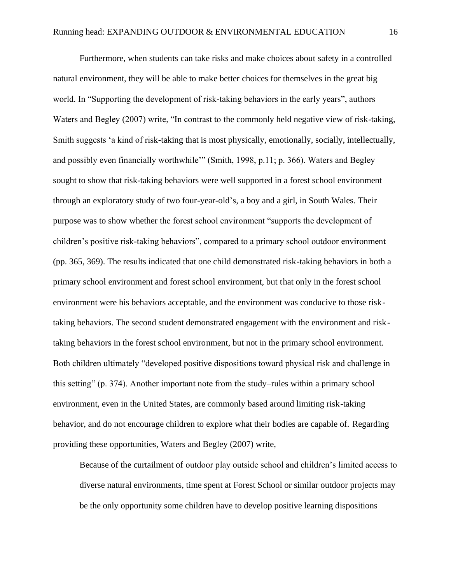Furthermore, when students can take risks and make choices about safety in a controlled natural environment, they will be able to make better choices for themselves in the great big world. In "Supporting the development of risk-taking behaviors in the early years", authors Waters and Begley (2007) write, "In contrast to the commonly held negative view of risk-taking, Smith suggests 'a kind of risk-taking that is most physically, emotionally, socially, intellectually, and possibly even financially worthwhile'" (Smith, 1998, p.11; p. 366). Waters and Begley sought to show that risk-taking behaviors were well supported in a forest school environment through an exploratory study of two four-year-old's, a boy and a girl, in South Wales. Their purpose was to show whether the forest school environment "supports the development of children's positive risk-taking behaviors", compared to a primary school outdoor environment (pp. 365, 369). The results indicated that one child demonstrated risk-taking behaviors in both a primary school environment and forest school environment, but that only in the forest school environment were his behaviors acceptable, and the environment was conducive to those risktaking behaviors. The second student demonstrated engagement with the environment and risktaking behaviors in the forest school environment, but not in the primary school environment. Both children ultimately "developed positive dispositions toward physical risk and challenge in this setting" (p. 374). Another important note from the study–rules within a primary school environment, even in the United States, are commonly based around limiting risk-taking behavior, and do not encourage children to explore what their bodies are capable of. Regarding providing these opportunities, Waters and Begley (2007) write,

Because of the curtailment of outdoor play outside school and children's limited access to diverse natural environments, time spent at Forest School or similar outdoor projects may be the only opportunity some children have to develop positive learning dispositions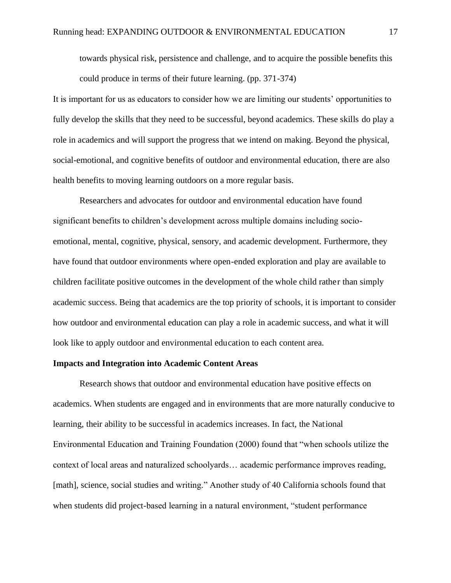towards physical risk, persistence and challenge, and to acquire the possible benefits this could produce in terms of their future learning. (pp. 371-374)

It is important for us as educators to consider how we are limiting our students' opportunities to fully develop the skills that they need to be successful, beyond academics. These skills do play a role in academics and will support the progress that we intend on making. Beyond the physical, social-emotional, and cognitive benefits of outdoor and environmental education, there are also health benefits to moving learning outdoors on a more regular basis.

Researchers and advocates for outdoor and environmental education have found significant benefits to children's development across multiple domains including socioemotional, mental, cognitive, physical, sensory, and academic development. Furthermore, they have found that outdoor environments where open-ended exploration and play are available to children facilitate positive outcomes in the development of the whole child rather than simply academic success. Being that academics are the top priority of schools, it is important to consider how outdoor and environmental education can play a role in academic success, and what it will look like to apply outdoor and environmental education to each content area.

#### **Impacts and Integration into Academic Content Areas**

Research shows that outdoor and environmental education have positive effects on academics. When students are engaged and in environments that are more naturally conducive to learning, their ability to be successful in academics increases. In fact, the National Environmental Education and Training Foundation (2000) found that "when schools utilize the context of local areas and naturalized schoolyards… academic performance improves reading, [math], science, social studies and writing." Another study of 40 California schools found that when students did project-based learning in a natural environment, "student performance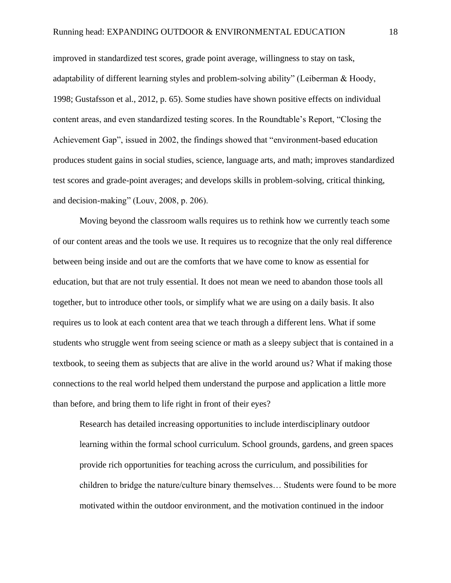improved in standardized test scores, grade point average, willingness to stay on task, adaptability of different learning styles and problem-solving ability" (Leiberman & Hoody, 1998; Gustafsson et al., 2012, p. 65). Some studies have shown positive effects on individual content areas, and even standardized testing scores. In the Roundtable's Report, "Closing the Achievement Gap", issued in 2002, the findings showed that "environment-based education produces student gains in social studies, science, language arts, and math; improves standardized test scores and grade-point averages; and develops skills in problem-solving, critical thinking, and decision-making" (Louv, 2008, p. 206).

Moving beyond the classroom walls requires us to rethink how we currently teach some of our content areas and the tools we use. It requires us to recognize that the only real difference between being inside and out are the comforts that we have come to know as essential for education, but that are not truly essential. It does not mean we need to abandon those tools all together, but to introduce other tools, or simplify what we are using on a daily basis. It also requires us to look at each content area that we teach through a different lens. What if some students who struggle went from seeing science or math as a sleepy subject that is contained in a textbook, to seeing them as subjects that are alive in the world around us? What if making those connections to the real world helped them understand the purpose and application a little more than before, and bring them to life right in front of their eyes?

Research has detailed increasing opportunities to include interdisciplinary outdoor learning within the formal school curriculum. School grounds, gardens, and green spaces provide rich opportunities for teaching across the curriculum, and possibilities for children to bridge the nature/culture binary themselves… Students were found to be more motivated within the outdoor environment, and the motivation continued in the indoor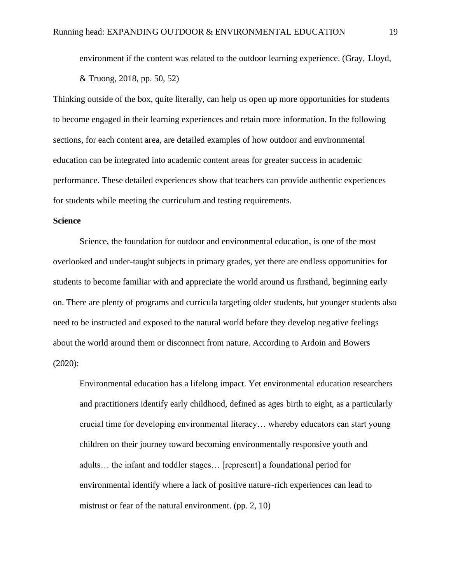environment if the content was related to the outdoor learning experience. (Gray, Lloyd, & Truong, 2018, pp. 50, 52)

Thinking outside of the box, quite literally, can help us open up more opportunities for students to become engaged in their learning experiences and retain more information. In the following sections, for each content area, are detailed examples of how outdoor and environmental education can be integrated into academic content areas for greater success in academic performance. These detailed experiences show that teachers can provide authentic experiences for students while meeting the curriculum and testing requirements.

#### **Science**

Science, the foundation for outdoor and environmental education, is one of the most overlooked and under-taught subjects in primary grades, yet there are endless opportunities for students to become familiar with and appreciate the world around us firsthand, beginning early on. There are plenty of programs and curricula targeting older students, but younger students also need to be instructed and exposed to the natural world before they develop negative feelings about the world around them or disconnect from nature. According to Ardoin and Bowers (2020):

Environmental education has a lifelong impact. Yet environmental education researchers and practitioners identify early childhood, defined as ages birth to eight, as a particularly crucial time for developing environmental literacy… whereby educators can start young children on their journey toward becoming environmentally responsive youth and adults… the infant and toddler stages… [represent] a foundational period for environmental identify where a lack of positive nature-rich experiences can lead to mistrust or fear of the natural environment. (pp. 2, 10)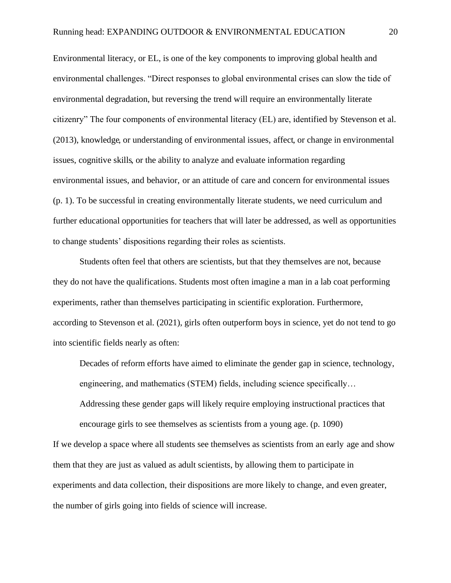Environmental literacy, or EL, is one of the key components to improving global health and environmental challenges. "Direct responses to global environmental crises can slow the tide of environmental degradation, but reversing the trend will require an environmentally literate citizenry" The four components of environmental literacy (EL) are, identified by Stevenson et al. (2013), knowledge, or understanding of environmental issues, affect, or change in environmental issues, cognitive skills, or the ability to analyze and evaluate information regarding environmental issues, and behavior, or an attitude of care and concern for environmental issues (p. 1). To be successful in creating environmentally literate students, we need curriculum and further educational opportunities for teachers that will later be addressed, as well as opportunities to change students' dispositions regarding their roles as scientists.

Students often feel that others are scientists, but that they themselves are not, because they do not have the qualifications. Students most often imagine a man in a lab coat performing experiments, rather than themselves participating in scientific exploration. Furthermore, according to Stevenson et al. (2021), girls often outperform boys in science, yet do not tend to go into scientific fields nearly as often:

Decades of reform efforts have aimed to eliminate the gender gap in science, technology, engineering, and mathematics (STEM) fields, including science specifically…

Addressing these gender gaps will likely require employing instructional practices that encourage girls to see themselves as scientists from a young age. (p. 1090)

If we develop a space where all students see themselves as scientists from an early age and show them that they are just as valued as adult scientists, by allowing them to participate in experiments and data collection, their dispositions are more likely to change, and even greater, the number of girls going into fields of science will increase.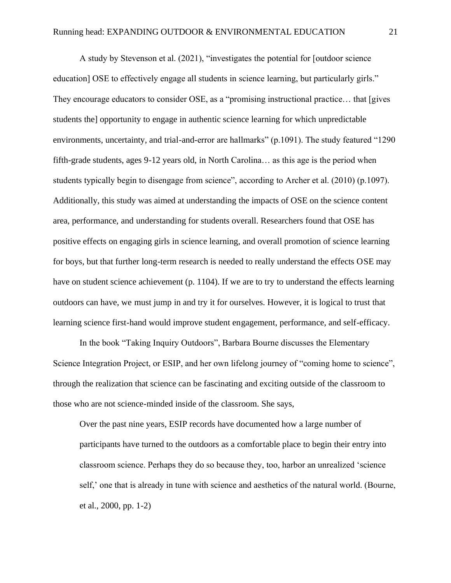A study by Stevenson et al. (2021), "investigates the potential for [outdoor science education] OSE to effectively engage all students in science learning, but particularly girls." They encourage educators to consider OSE, as a "promising instructional practice… that [gives students the] opportunity to engage in authentic science learning for which unpredictable environments, uncertainty, and trial-and-error are hallmarks" (p.1091). The study featured "1290 fifth-grade students, ages 9-12 years old, in North Carolina… as this age is the period when students typically begin to disengage from science", according to Archer et al. (2010) (p.1097). Additionally, this study was aimed at understanding the impacts of OSE on the science content area, performance, and understanding for students overall. Researchers found that OSE has positive effects on engaging girls in science learning, and overall promotion of science learning for boys, but that further long-term research is needed to really understand the effects OSE may have on student science achievement (p. 1104). If we are to try to understand the effects learning outdoors can have, we must jump in and try it for ourselves. However, it is logical to trust that learning science first-hand would improve student engagement, performance, and self-efficacy.

In the book "Taking Inquiry Outdoors", Barbara Bourne discusses the Elementary Science Integration Project, or ESIP, and her own lifelong journey of "coming home to science", through the realization that science can be fascinating and exciting outside of the classroom to those who are not science-minded inside of the classroom. She says,

Over the past nine years, ESIP records have documented how a large number of participants have turned to the outdoors as a comfortable place to begin their entry into classroom science. Perhaps they do so because they, too, harbor an unrealized 'science self,' one that is already in tune with science and aesthetics of the natural world. (Bourne, et al., 2000, pp. 1-2)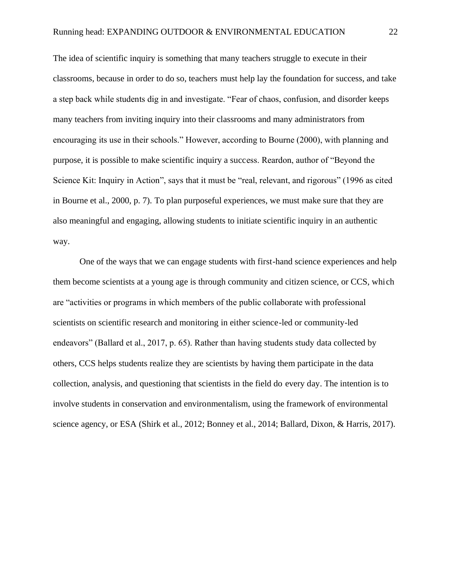The idea of scientific inquiry is something that many teachers struggle to execute in their classrooms, because in order to do so, teachers must help lay the foundation for success, and take a step back while students dig in and investigate. "Fear of chaos, confusion, and disorder keeps many teachers from inviting inquiry into their classrooms and many administrators from encouraging its use in their schools." However, according to Bourne (2000), with planning and purpose, it is possible to make scientific inquiry a success. Reardon, author of "Beyond the Science Kit: Inquiry in Action", says that it must be "real, relevant, and rigorous" (1996 as cited in Bourne et al., 2000, p. 7). To plan purposeful experiences, we must make sure that they are also meaningful and engaging, allowing students to initiate scientific inquiry in an authentic way.

One of the ways that we can engage students with first-hand science experiences and help them become scientists at a young age is through community and citizen science, or CCS, which are "activities or programs in which members of the public collaborate with professional scientists on scientific research and monitoring in either science-led or community-led endeavors" (Ballard et al., 2017, p. 65). Rather than having students study data collected by others, CCS helps students realize they are scientists by having them participate in the data collection, analysis, and questioning that scientists in the field do every day. The intention is to involve students in conservation and environmentalism, using the framework of environmental science agency, or ESA (Shirk et al., 2012; Bonney et al., 2014; Ballard, Dixon, & Harris, 2017).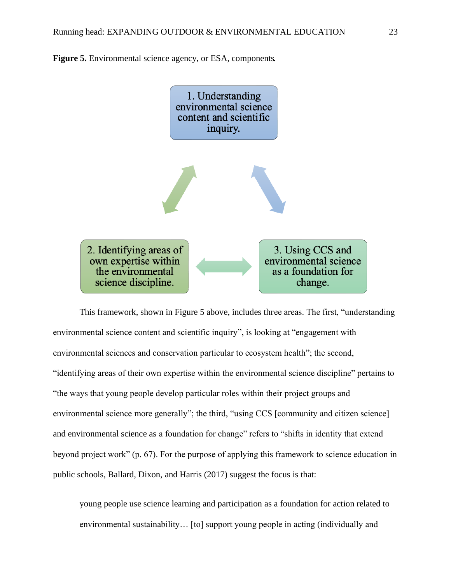



This framework, shown in Figure 5 above, includes three areas. The first, "understanding environmental science content and scientific inquiry", is looking at "engagement with environmental sciences and conservation particular to ecosystem health"; the second, "identifying areas of their own expertise within the environmental science discipline" pertains to "the ways that young people develop particular roles within their project groups and environmental science more generally"; the third, "using CCS [community and citizen science] and environmental science as a foundation for change" refers to "shifts in identity that extend beyond project work" (p. 67). For the purpose of applying this framework to science education in public schools, Ballard, Dixon, and Harris (2017) suggest the focus is that:

young people use science learning and participation as a foundation for action related to environmental sustainability… [to] support young people in acting (individually and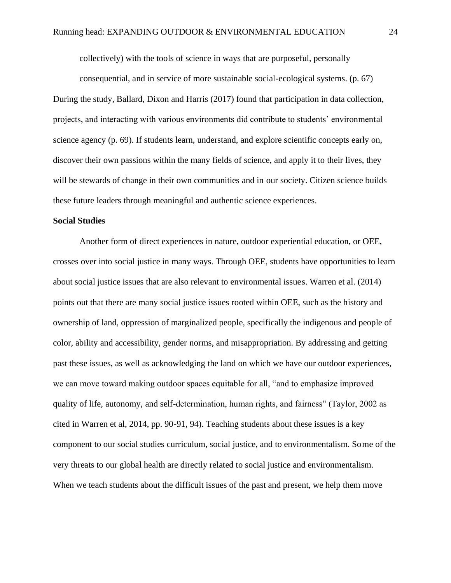collectively) with the tools of science in ways that are purposeful, personally

consequential, and in service of more sustainable social-ecological systems. (p. 67) During the study, Ballard, Dixon and Harris (2017) found that participation in data collection, projects, and interacting with various environments did contribute to students' environment al science agency (p. 69). If students learn, understand, and explore scientific concepts early on, discover their own passions within the many fields of science, and apply it to their lives, they will be stewards of change in their own communities and in our society. Citizen science builds these future leaders through meaningful and authentic science experiences.

#### **Social Studies**

Another form of direct experiences in nature, outdoor experiential education, or OEE, crosses over into social justice in many ways. Through OEE, students have opportunities to learn about social justice issues that are also relevant to environmental issues. Warren et al. (2014) points out that there are many social justice issues rooted within OEE, such as the history and ownership of land, oppression of marginalized people, specifically the indigenous and people of color, ability and accessibility, gender norms, and misappropriation. By addressing and getting past these issues, as well as acknowledging the land on which we have our outdoor experiences, we can move toward making outdoor spaces equitable for all, "and to emphasize improved quality of life, autonomy, and self-determination, human rights, and fairness" (Taylor, 2002 as cited in Warren et al, 2014, pp. 90-91, 94). Teaching students about these issues is a key component to our social studies curriculum, social justice, and to environmentalism. Some of the very threats to our global health are directly related to social justice and environmentalism. When we teach students about the difficult issues of the past and present, we help them move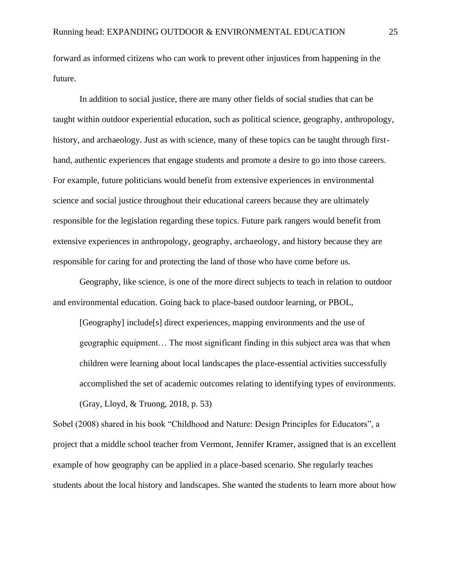forward as informed citizens who can work to prevent other injustices from happening in the future.

In addition to social justice, there are many other fields of social studies that can be taught within outdoor experiential education, such as political science, geography, anthropology, history, and archaeology. Just as with science, many of these topics can be taught through firsthand, authentic experiences that engage students and promote a desire to go into those careers. For example, future politicians would benefit from extensive experiences in environmental science and social justice throughout their educational careers because they are ultimately responsible for the legislation regarding these topics. Future park rangers would benefit from extensive experiences in anthropology, geography, archaeology, and history because they are responsible for caring for and protecting the land of those who have come before us.

Geography, like science, is one of the more direct subjects to teach in relation to outdoor and environmental education. Going back to place-based outdoor learning, or PBOL,

[Geography] include[s] direct experiences, mapping environments and the use of geographic equipment… The most significant finding in this subject area was that when children were learning about local landscapes the place-essential activities successfully accomplished the set of academic outcomes relating to identifying types of environments. (Gray, Lloyd, & Truong, 2018, p. 53)

Sobel (2008) shared in his book "Childhood and Nature: Design Principles for Educators", a project that a middle school teacher from Vermont, Jennifer Kramer, assigned that is an excellent example of how geography can be applied in a place-based scenario. She regularly teaches students about the local history and landscapes. She wanted the students to learn more about how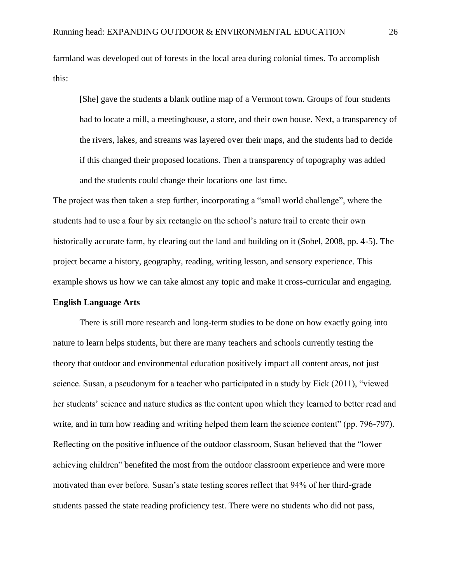farmland was developed out of forests in the local area during colonial times. To accomplish this:

[She] gave the students a blank outline map of a Vermont town. Groups of four students had to locate a mill, a meetinghouse, a store, and their own house. Next, a transparency of the rivers, lakes, and streams was layered over their maps, and the students had to decide if this changed their proposed locations. Then a transparency of topography was added and the students could change their locations one last time.

The project was then taken a step further, incorporating a "small world challenge", where the students had to use a four by six rectangle on the school's nature trail to create their own historically accurate farm, by clearing out the land and building on it (Sobel, 2008, pp. 4-5). The project became a history, geography, reading, writing lesson, and sensory experience. This example shows us how we can take almost any topic and make it cross-curricular and engaging.

#### **English Language Arts**

There is still more research and long-term studies to be done on how exactly going into nature to learn helps students, but there are many teachers and schools currently testing the theory that outdoor and environmental education positively impact all content areas, not just science. Susan, a pseudonym for a teacher who participated in a study by Eick (2011), "viewed her students' science and nature studies as the content upon which they learned to better read and write, and in turn how reading and writing helped them learn the science content" (pp. 796-797). Reflecting on the positive influence of the outdoor classroom, Susan believed that the "lower achieving children" benefited the most from the outdoor classroom experience and were more motivated than ever before. Susan's state testing scores reflect that 94% of her third-grade students passed the state reading proficiency test. There were no students who did not pass,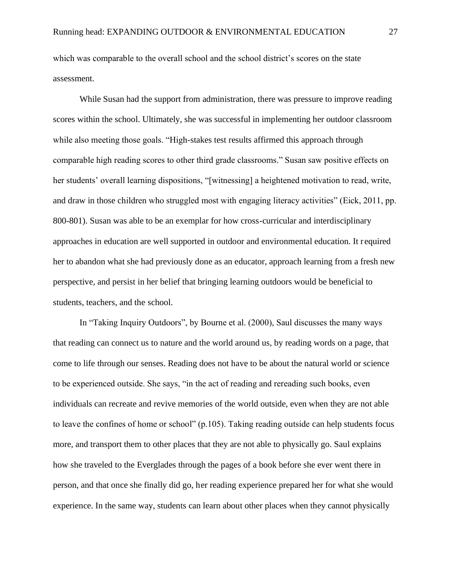which was comparable to the overall school and the school district's scores on the state assessment.

While Susan had the support from administration, there was pressure to improve reading scores within the school. Ultimately, she was successful in implementing her outdoor classroom while also meeting those goals. "High-stakes test results affirmed this approach through comparable high reading scores to other third grade classrooms." Susan saw positive effects on her students' overall learning dispositions, "[witnessing] a heightened motivation to read, write, and draw in those children who struggled most with engaging literacy activities" (Eick, 2011, pp. 800-801). Susan was able to be an exemplar for how cross-curricular and interdisciplinary approaches in education are well supported in outdoor and environmental education. It r equired her to abandon what she had previously done as an educator, approach learning from a fresh new perspective, and persist in her belief that bringing learning outdoors would be beneficial to students, teachers, and the school.

In "Taking Inquiry Outdoors", by Bourne et al. (2000), Saul discusses the many ways that reading can connect us to nature and the world around us, by reading words on a page, that come to life through our senses. Reading does not have to be about the natural world or science to be experienced outside. She says, "in the act of reading and rereading such books, even individuals can recreate and revive memories of the world outside, even when they are not able to leave the confines of home or school" (p.105). Taking reading outside can help students focus more, and transport them to other places that they are not able to physically go. Saul explains how she traveled to the Everglades through the pages of a book before she ever went there in person, and that once she finally did go, her reading experience prepared her for what she would experience. In the same way, students can learn about other places when they cannot physically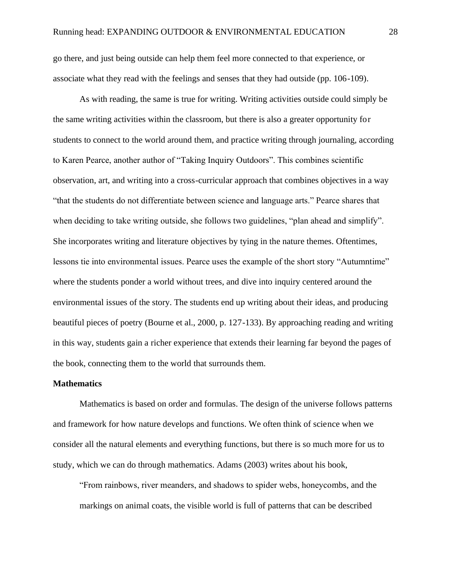go there, and just being outside can help them feel more connected to that experience, or associate what they read with the feelings and senses that they had outside (pp. 106-109).

As with reading, the same is true for writing. Writing activities outside could simply be the same writing activities within the classroom, but there is also a greater opportunity for students to connect to the world around them, and practice writing through journaling, according to Karen Pearce, another author of "Taking Inquiry Outdoors". This combines scientific observation, art, and writing into a cross-curricular approach that combines objectives in a way "that the students do not differentiate between science and language arts." Pearce shares that when deciding to take writing outside, she follows two guidelines, "plan ahead and simplify". She incorporates writing and literature objectives by tying in the nature themes. Oftentimes, lessons tie into environmental issues. Pearce uses the example of the short story "Autumntime" where the students ponder a world without trees, and dive into inquiry centered around the environmental issues of the story. The students end up writing about their ideas, and producing beautiful pieces of poetry (Bourne et al., 2000, p. 127-133). By approaching reading and writing in this way, students gain a richer experience that extends their learning far beyond the pages of the book, connecting them to the world that surrounds them.

#### **Mathematics**

Mathematics is based on order and formulas. The design of the universe follows patterns and framework for how nature develops and functions. We often think of science when we consider all the natural elements and everything functions, but there is so much more for us to study, which we can do through mathematics. Adams (2003) writes about his book,

"From rainbows, river meanders, and shadows to spider webs, honeycombs, and the markings on animal coats, the visible world is full of patterns that can be described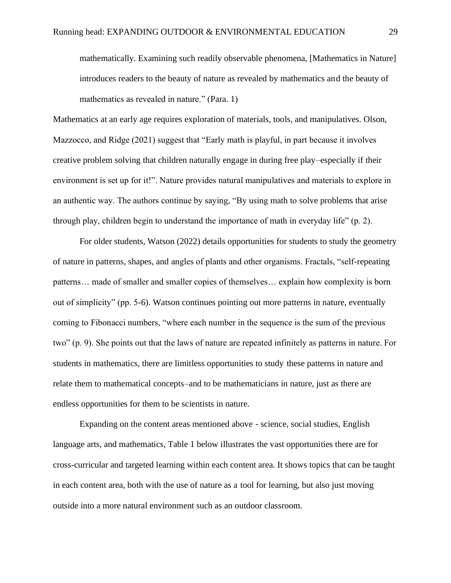mathematically. Examining such readily observable phenomena, [Mathematics in Nature] introduces readers to the beauty of nature as revealed by mathematics and the beauty of mathematics as revealed in nature." (Para. 1)

Mathematics at an early age requires exploration of materials, tools, and manipulatives. Olson, Mazzocco, and Ridge (2021) suggest that "Early math is playful, in part because it involves creative problem solving that children naturally engage in during free play–especially if their environment is set up for it!". Nature provides natural manipulatives and materials to explore in an authentic way. The authors continue by saying, "By using math to solve problems that arise through play, children begin to understand the importance of math in everyday life" (p. 2).

For older students, Watson (2022) details opportunities for students to study the geometry of nature in patterns, shapes, and angles of plants and other organisms. Fractals, "self-repeating patterns… made of smaller and smaller copies of themselves… explain how complexity is born out of simplicity" (pp. 5-6). Watson continues pointing out more patterns in nature, eventually coming to Fibonacci numbers, "where each number in the sequence is the sum of the previous two" (p. 9). She points out that the laws of nature are repeated infinitely as patterns in nature. For students in mathematics, there are limitless opportunities to study these patterns in nature and relate them to mathematical concepts–and to be mathematicians in nature, just as there are endless opportunities for them to be scientists in nature.

Expanding on the content areas mentioned above - science, social studies, English language arts, and mathematics, Table 1 below illustrates the vast opportunities there are for cross-curricular and targeted learning within each content area. It shows topics that can be taught in each content area, both with the use of nature as a tool for learning, but also just moving outside into a more natural environment such as an outdoor classroom.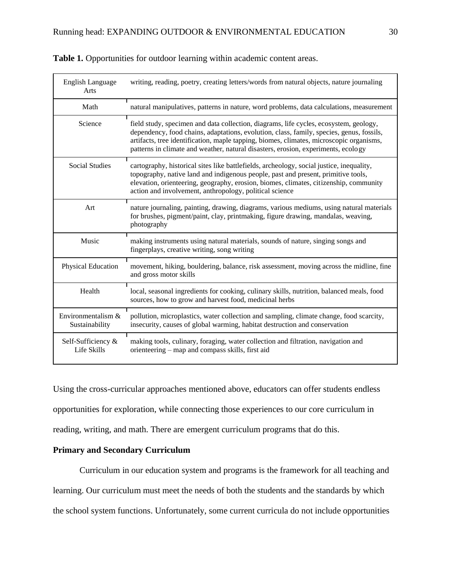| English Language<br>Arts             | writing, reading, poetry, creating letters/words from natural objects, nature journaling                                                                                                                                                                                                                                                                          |
|--------------------------------------|-------------------------------------------------------------------------------------------------------------------------------------------------------------------------------------------------------------------------------------------------------------------------------------------------------------------------------------------------------------------|
| Math                                 | natural manipulatives, patterns in nature, word problems, data calculations, measurement                                                                                                                                                                                                                                                                          |
| Science                              | field study, specimen and data collection, diagrams, life cycles, ecosystem, geology,<br>dependency, food chains, adaptations, evolution, class, family, species, genus, fossils,<br>artifacts, tree identification, maple tapping, biomes, climates, microscopic organisms,<br>patterns in climate and weather, natural disasters, erosion, experiments, ecology |
| Social Studies                       | cartography, historical sites like battlefields, archeology, social justice, inequality,<br>topography, native land and indigenous people, past and present, primitive tools,<br>elevation, orienteering, geography, erosion, biomes, climates, citizenship, community<br>action and involvement, anthropology, political science                                 |
| Art                                  | nature journaling, painting, drawing, diagrams, various mediums, using natural materials<br>for brushes, pigment/paint, clay, printmaking, figure drawing, mandalas, weaving,<br>photography                                                                                                                                                                      |
| Music                                | making instruments using natural materials, sounds of nature, singing songs and<br>fingerplays, creative writing, song writing                                                                                                                                                                                                                                    |
| Physical Education                   | movement, hiking, bouldering, balance, risk assessment, moving across the midline, fine<br>and gross motor skills                                                                                                                                                                                                                                                 |
| Health                               | local, seasonal ingredients for cooking, culinary skills, nutrition, balanced meals, food<br>sources, how to grow and harvest food, medicinal herbs                                                                                                                                                                                                               |
| Environmentalism &<br>Sustainability | pollution, microplastics, water collection and sampling, climate change, food scarcity,<br>insecurity, causes of global warming, habitat destruction and conservation                                                                                                                                                                                             |
| Self-Sufficiency &<br>Life Skills    | making tools, culinary, foraging, water collection and filtration, navigation and<br>orienteering – map and compass skills, first aid                                                                                                                                                                                                                             |

Using the cross-curricular approaches mentioned above, educators can offer students endless opportunities for exploration, while connecting those experiences to our core curriculum in reading, writing, and math. There are emergent curriculum programs that do this.

## **Primary and Secondary Curriculum**

Curriculum in our education system and programs is the framework for all teaching and learning. Our curriculum must meet the needs of both the students and the standards by which the school system functions. Unfortunately, some current curricula do not include opportunities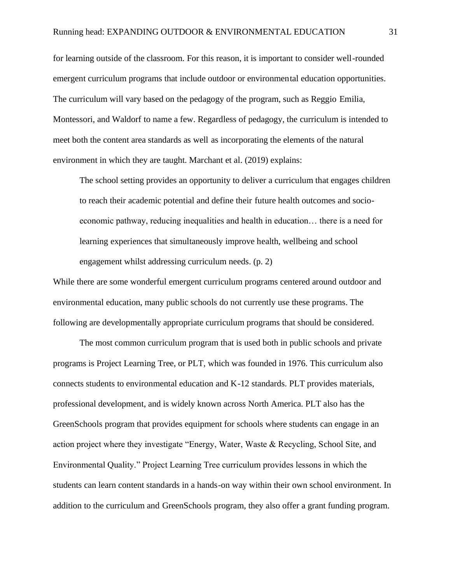for learning outside of the classroom. For this reason, it is important to consider well-rounded emergent curriculum programs that include outdoor or environmental education opportunities. The curriculum will vary based on the pedagogy of the program, such as Reggio Emilia, Montessori, and Waldorf to name a few. Regardless of pedagogy, the curriculum is intended to meet both the content area standards as well as incorporating the elements of the natural environment in which they are taught. Marchant et al. (2019) explains:

The school setting provides an opportunity to deliver a curriculum that engages children to reach their academic potential and define their future health outcomes and socioeconomic pathway, reducing inequalities and health in education… there is a need for learning experiences that simultaneously improve health, wellbeing and school engagement whilst addressing curriculum needs. (p. 2)

While there are some wonderful emergent curriculum programs centered around outdoor and environmental education, many public schools do not currently use these programs. The following are developmentally appropriate curriculum programs that should be considered.

The most common curriculum program that is used both in public schools and private programs is Project Learning Tree, or PLT, which was founded in 1976. This curriculum also connects students to environmental education and K-12 standards. PLT provides materials, professional development, and is widely known across North America. PLT also has the GreenSchools program that provides equipment for schools where students can engage in an action project where they investigate "Energy, Water, Waste & Recycling, School Site, and Environmental Quality." Project Learning Tree curriculum provides lessons in which the students can learn content standards in a hands-on way within their own school environment. In addition to the curriculum and GreenSchools program, they also offer a grant funding program.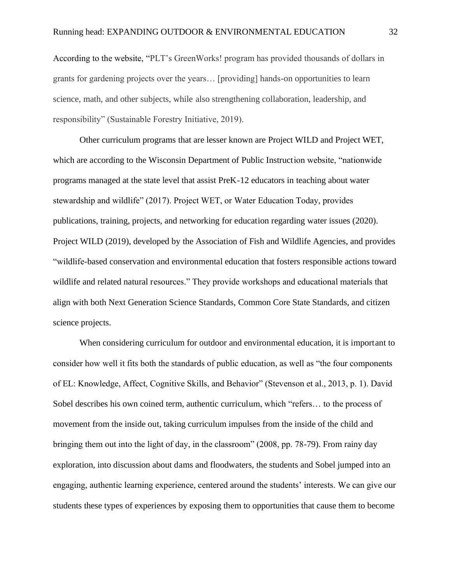According to the website, "PLT's GreenWorks! program has provided thousands of dollars in grants for gardening projects over the years… [providing] hands-on opportunities to learn science, math, and other subjects, while also strengthening collaboration, leadership, and responsibility" (Sustainable Forestry Initiative, 2019).

Other curriculum programs that are lesser known are Project WILD and Project WET, which are according to the Wisconsin Department of Public Instruction website, "nationwide programs managed at the state level that assist PreK-12 educators in teaching about water stewardship and wildlife" (2017). Project WET, or Water Education Today, provides publications, training, projects, and networking for education regarding water issues (2020). Project WILD (2019), developed by the Association of Fish and Wildlife Agencies, and provides "wildlife-based conservation and environmental education that fosters responsible actions toward wildlife and related natural resources." They provide workshops and educational materials that align with both Next Generation Science Standards, Common Core State Standards, and citizen science projects.

When considering curriculum for outdoor and environmental education, it is important to consider how well it fits both the standards of public education, as well as "the four components of EL: Knowledge, Affect, Cognitive Skills, and Behavior" (Stevenson et al., 2013, p. 1). David Sobel describes his own coined term, authentic curriculum, which "refers… to the process of movement from the inside out, taking curriculum impulses from the inside of the child and bringing them out into the light of day, in the classroom" (2008, pp. 78-79). From rainy day exploration, into discussion about dams and floodwaters, the students and Sobel jumped into an engaging, authentic learning experience, centered around the students' interests. We can give our students these types of experiences by exposing them to opportunities that cause them to become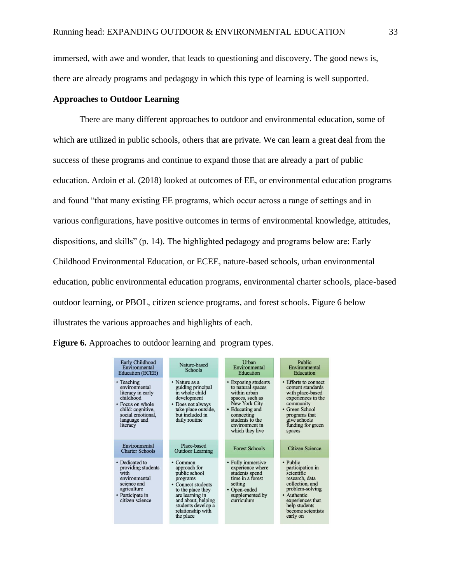immersed, with awe and wonder, that leads to questioning and discovery. The good news is, there are already programs and pedagogy in which this type of learning is well supported.

### **Approaches to Outdoor Learning**

There are many different approaches to outdoor and environmental education, some of which are utilized in public schools, others that are private. We can learn a great deal from the success of these programs and continue to expand those that are already a part of public education. Ardoin et al. (2018) looked at outcomes of EE, or environmental education programs and found "that many existing EE programs, which occur across a range of settings and in various configurations, have positive outcomes in terms of environmental knowledge, attitudes, dispositions, and skills" (p. 14). The highlighted pedagogy and programs below are: Early Childhood Environmental Education, or ECEE, nature-based schools, urban environmental education, public environmental education programs, environmental charter schools, place-based outdoor learning, or PBOL, citizen science programs, and forest schools. Figure 6 below illustrates the various approaches and highlights of each.

| <b>Figure 6.</b> Approaches to outdoor learning and program types. |  |  |  |
|--------------------------------------------------------------------|--|--|--|
|                                                                    |  |  |  |

| Early Childhood<br>Environmental<br><b>Education (ECEE)</b>                                                                                             | Nature-based<br><b>Schools</b>                                                                                                                                                                          | Urban<br>Environmental<br>Education                                                                                                                                                   | Public<br>Environmental<br>Education                                                                                                                                                    |
|---------------------------------------------------------------------------------------------------------------------------------------------------------|---------------------------------------------------------------------------------------------------------------------------------------------------------------------------------------------------------|---------------------------------------------------------------------------------------------------------------------------------------------------------------------------------------|-----------------------------------------------------------------------------------------------------------------------------------------------------------------------------------------|
| • Teaching<br>environmental<br>literacy in early<br>childhood<br>• Focus on whole<br>child: cognitive,<br>social emotional,<br>language and<br>literacy | • Nature as a<br>guiding principal<br>in whole child<br>development<br>• Does not always<br>take place outside,<br>but included in<br>daily routine                                                     | • Exposing students<br>to natural spaces<br>within urban<br>spaces, such as<br>New York City<br>• Educating and<br>connecting<br>students to the<br>environment in<br>which they live | • Efforts to connect<br>content standards<br>with place-based<br>experiences in the<br>community<br>• Green School<br>programs that<br>give schools<br>funding for green<br>spaces      |
| Environmental<br><b>Charter Schools</b>                                                                                                                 | Place-based<br><b>Outdoor Learning</b>                                                                                                                                                                  | <b>Forest Schools</b>                                                                                                                                                                 | <b>Citizen Science</b>                                                                                                                                                                  |
| • Dedicated to<br>providing students<br>with<br>environmental<br>science and<br>agriculture<br>• Participate in<br>citizen science                      | $\cdot$ Common<br>approach for<br>public school<br>programs<br>• Connect students<br>to the place they<br>are learning in<br>and about, helping<br>students develop a<br>relationship with<br>the place | • Fully immersive<br>experience where<br>students spend<br>time in a forest<br>setting<br>• Open-ended<br>supplemented by<br>curriculum                                               | • Public<br>participation in<br>scientific<br>research, data<br>collection, and<br>problem-solving<br>• Authentic<br>experiences that<br>help students<br>become scientists<br>early on |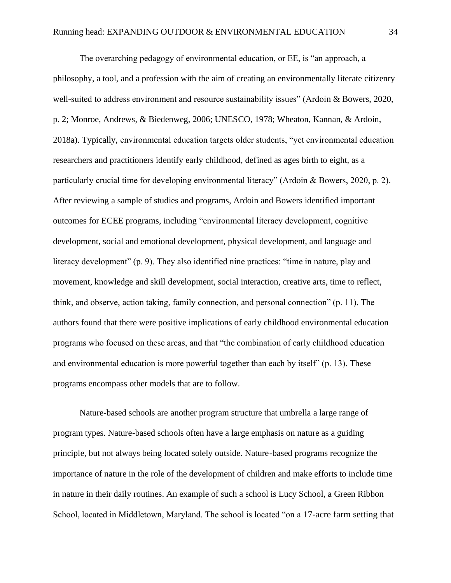The overarching pedagogy of environmental education, or EE, is "an approach, a philosophy, a tool, and a profession with the aim of creating an environmentally literate citizenry well-suited to address environment and resource sustainability issues" (Ardoin & Bowers, 2020, p. 2; Monroe, Andrews, & Biedenweg, 2006; UNESCO, 1978; Wheaton, Kannan, & Ardoin, 2018a). Typically, environmental education targets older students, "yet environmental education researchers and practitioners identify early childhood, defined as ages birth to eight, as a particularly crucial time for developing environmental literacy" (Ardoin & Bowers, 2020, p. 2). After reviewing a sample of studies and programs, Ardoin and Bowers identified important outcomes for ECEE programs, including "environmental literacy development, cognitive development, social and emotional development, physical development, and language and literacy development" (p. 9). They also identified nine practices: "time in nature, play and movement, knowledge and skill development, social interaction, creative arts, time to reflect, think, and observe, action taking, family connection, and personal connection" (p. 11). The authors found that there were positive implications of early childhood environmental education programs who focused on these areas, and that "the combination of early childhood education and environmental education is more powerful together than each by itself" (p. 13). These programs encompass other models that are to follow.

Nature-based schools are another program structure that umbrella a large range of program types. Nature-based schools often have a large emphasis on nature as a guiding principle, but not always being located solely outside. Nature-based programs recognize the importance of nature in the role of the development of children and make efforts to include time in nature in their daily routines. An example of such a school is Lucy School, a Green Ribbon School, located in Middletown, Maryland. The school is located "on a 17-acre farm setting that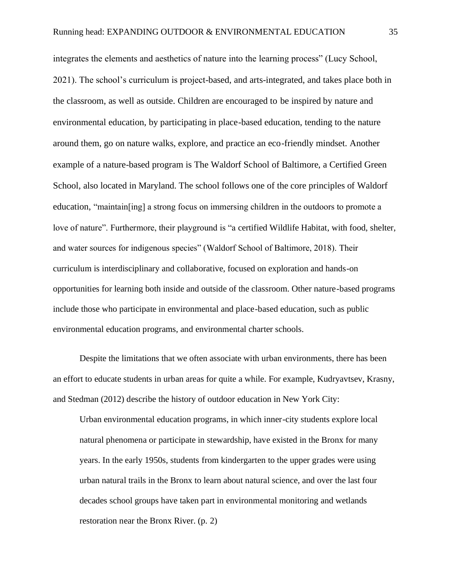integrates the elements and aesthetics of nature into the learning process" (Lucy School, 2021). The school's curriculum is project-based, and arts-integrated, and takes place both in the classroom, as well as outside. Children are encouraged to be inspired by nature and environmental education, by participating in place-based education, tending to the nature around them, go on nature walks, explore, and practice an eco-friendly mindset. Another example of a nature-based program is The Waldorf School of Baltimore, a Certified Green School, also located in Maryland. The school follows one of the core principles of Waldorf education, "maintain[ing] a strong focus on immersing children in the outdoors to promote a love of nature". Furthermore, their playground is "a [certified Wildlife Habitat,](https://www.nwf.org/Garden-for-Wildlife/Certify) with food, shelter, and water sources for indigenous species" (Waldorf School of Baltimore, 2018). Their curriculum is interdisciplinary and collaborative, focused on exploration and hands-on opportunities for learning both inside and outside of the classroom. Other nature-based programs include those who participate in environmental and place-based education, such as public environmental education programs, and environmental charter schools.

Despite the limitations that we often associate with urban environments, there has been an effort to educate students in urban areas for quite a while. For example, Kudryavtsev, Krasny, and Stedman (2012) describe the history of outdoor education in New York City:

Urban environmental education programs, in which inner-city students explore local natural phenomena or participate in stewardship, have existed in the Bronx for many years. In the early 1950s, students from kindergarten to the upper grades were using urban natural trails in the Bronx to learn about natural science, and over the last four decades school groups have taken part in environmental monitoring and wetlands restoration near the Bronx River. (p. 2)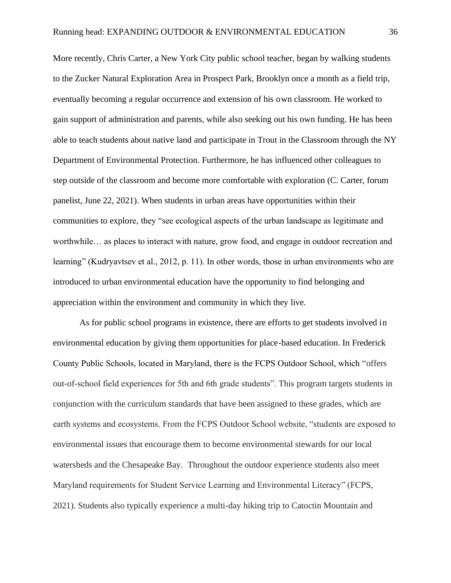More recently, Chris Carter, a New York City public school teacher, began by walking students to the Zucker Natural Exploration Area in Prospect Park, Brooklyn once a month as a field trip, eventually becoming a regular occurrence and extension of his own classroom. He worked to gain support of administration and parents, while also seeking out his own funding. He has been able to teach students about native land and participate in Trout in the Classroom through the NY Department of Environmental Protection. Furthermore, he has influenced other colleagues to step outside of the classroom and become more comfortable with exploration (C. Carter, forum panelist, June 22, 2021). When students in urban areas have opportunities within their communities to explore, they "see ecological aspects of the urban landscape as legitimate and worthwhile… as places to interact with nature, grow food, and engage in outdoor recreation and learning" (Kudryavtsev et al., 2012, p. 11). In other words, those in urban environments who are introduced to urban environmental education have the opportunity to find belonging and appreciation within the environment and community in which they live.

As for public school programs in existence, there are efforts to get students involved in environmental education by giving them opportunities for place-based education. In Frederick County Public Schools, located in Maryland, there is the FCPS Outdoor School, which "offers out-of-school field experiences for 5th and 6th grade students". This program targets students in conjunction with the curriculum standards that have been assigned to these grades, which are earth systems and ecosystems. From the FCPS Outdoor School website, "students are exposed to environmental issues that encourage them to become environmental stewards for our local watersheds and the Chesapeake Bay. Throughout the outdoor experience students also meet Maryland requirements for Student Service Learning and Environmental Literacy" (FCPS, 2021). Students also typically experience a multi-day hiking trip to Catoctin Mountain and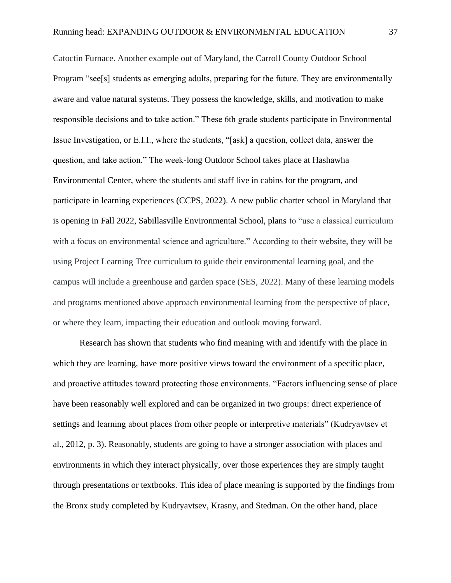Catoctin Furnace. Another example out of Maryland, the Carroll County Outdoor School Program "see[s] students as emerging adults, preparing for the future. They are environmentally aware and value natural systems. They possess the knowledge, skills, and motivation to make responsible decisions and to take action." These 6th grade students participate in Environmental Issue Investigation, or E.I.I., where the students, "[ask] a question, collect data, answer the question, and take action." The week-long Outdoor School takes place at Hashawha Environmental Center, where the students and staff live in cabins for the program, and participate in learning experiences (CCPS, 2022). A new public charter school in Maryland that is opening in Fall 2022, Sabillasville Environmental School, plans to "use a classical curriculum with a focus on environmental science and agriculture." According to their website, they will be using Project Learning Tree curriculum to guide their environmental learning goal, and the campus will include a greenhouse and garden space (SES, 2022). Many of these learning models and programs mentioned above approach environmental learning from the perspective of place, or where they learn, impacting their education and outlook moving forward.

Research has shown that students who find meaning with and identify with the place in which they are learning, have more positive views toward the environment of a specific place, and proactive attitudes toward protecting those environments. "Factors influencing sense of place have been reasonably well explored and can be organized in two groups: direct experience of settings and learning about places from other people or interpretive materials" (Kudryavtsev et al., 2012, p. 3). Reasonably, students are going to have a stronger association with places and environments in which they interact physically, over those experiences they are simply taught through presentations or textbooks. This idea of place meaning is supported by the findings from the Bronx study completed by Kudryavtsev, Krasny, and Stedman. On the other hand, place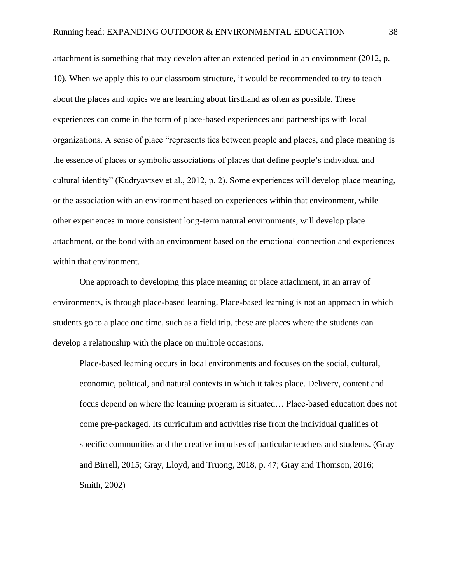attachment is something that may develop after an extended period in an environment (2012, p. 10). When we apply this to our classroom structure, it would be recommended to try to teach about the places and topics we are learning about firsthand as often as possible. These experiences can come in the form of place-based experiences and partnerships with local organizations. A sense of place "represents ties between people and places, and place meaning is the essence of places or symbolic associations of places that define people's individual and cultural identity" (Kudryavtsev et al., 2012, p. 2). Some experiences will develop place meaning, or the association with an environment based on experiences within that environment, while other experiences in more consistent long-term natural environments, will develop place attachment, or the bond with an environment based on the emotional connection and experiences within that environment.

One approach to developing this place meaning or place attachment, in an array of environments, is through place-based learning. Place-based learning is not an approach in which students go to a place one time, such as a field trip, these are places where the students can develop a relationship with the place on multiple occasions.

Place-based learning occurs in local environments and focuses on the social, cultural, economic, political, and natural contexts in which it takes place. Delivery, content and focus depend on where the learning program is situated… Place-based education does not come pre-packaged. Its curriculum and activities rise from the individual qualities of specific communities and the creative impulses of particular teachers and students. (Gray and Birrell, 2015; Gray, Lloyd, and Truong, 2018, p. 47; Gray and Thomson, 2016; Smith, 2002)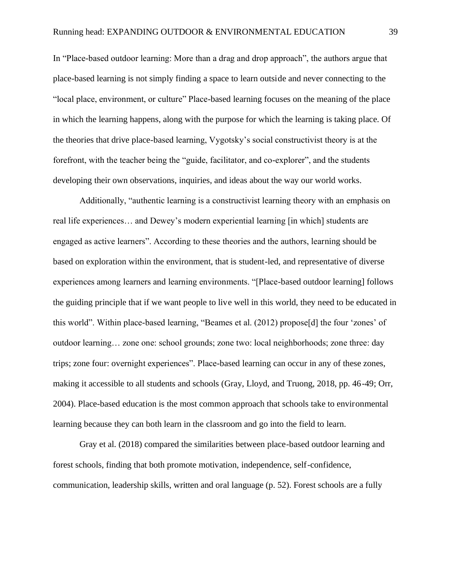In "Place-based outdoor learning: More than a drag and drop approach", the authors argue that place-based learning is not simply finding a space to learn outside and never connecting to the "local place, environment, or culture" Place-based learning focuses on the meaning of the place in which the learning happens, along with the purpose for which the learning is taking place. Of the theories that drive place-based learning, Vygotsky's social constructivist theory is at the forefront, with the teacher being the "guide, facilitator, and co-explorer", and the students developing their own observations, inquiries, and ideas about the way our world works.

Additionally, "authentic learning is a constructivist learning theory with an emphasis on real life experiences… and Dewey's modern experiential learning [in which] students are engaged as active learners". According to these theories and the authors, learning should be based on exploration within the environment, that is student-led, and representative of diverse experiences among learners and learning environments. "[Place-based outdoor learning] follows the guiding principle that if we want people to live well in this world, they need to be educated in this world". Within place-based learning, "Beames et al. (2012) propose[d] the four 'zones' of outdoor learning… zone one: school grounds; zone two: local neighborhoods; zone three: day trips; zone four: overnight experiences". Place-based learning can occur in any of these zones, making it accessible to all students and schools (Gray, Lloyd, and Truong, 2018, pp. 46-49; Orr, 2004). Place-based education is the most common approach that schools take to environmental learning because they can both learn in the classroom and go into the field to learn.

Gray et al. (2018) compared the similarities between place-based outdoor learning and forest schools, finding that both promote motivation, independence, self-confidence, communication, leadership skills, written and oral language (p. 52). Forest schools are a fully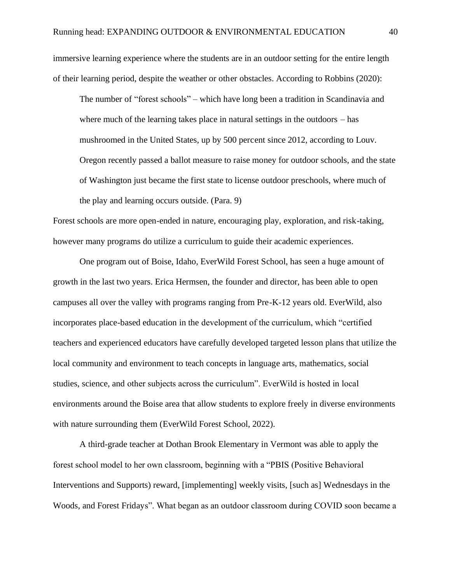immersive learning experience where the students are in an outdoor setting for the entire length of their learning period, despite the weather or other obstacles. According to Robbins (2020):

The number of "forest schools" – which have long been a tradition in Scandinavia and where much of the learning takes place in natural settings in the outdoors – has mushroomed in the United States, up by 500 percent since 2012, according to Louv. Oregon recently passed a ballot measure to raise money for outdoor schools, and the state of Washington just became the first state to license outdoor preschools, where much of the play and learning occurs outside. (Para. 9)

Forest schools are more open-ended in nature, encouraging play, exploration, and risk-taking, however many programs do utilize a curriculum to guide their academic experiences.

One program out of Boise, Idaho, EverWild Forest School, has seen a huge amount of growth in the last two years. Erica Hermsen, the founder and director, has been able to open campuses all over the valley with programs ranging from Pre-K-12 years old. EverWild, also incorporates place-based education in the development of the curriculum, which "certified teachers and experienced educators have carefully developed targeted lesson plans that utilize the local community and environment to teach concepts in language arts, mathematics, social studies, science, and other subjects across the curriculum". EverWild is hosted in local environments around the Boise area that allow students to explore freely in diverse environments with nature surrounding them (EverWild Forest School, 2022).

A third-grade teacher at Dothan Brook Elementary in Vermont was able to apply the forest school model to her own classroom, beginning with a "PBIS (Positive Behavioral Interventions and Supports) reward, [implementing] weekly visits, [such as] Wednesdays in the Woods, and Forest Fridays". What began as an outdoor classroom during COVID soon became a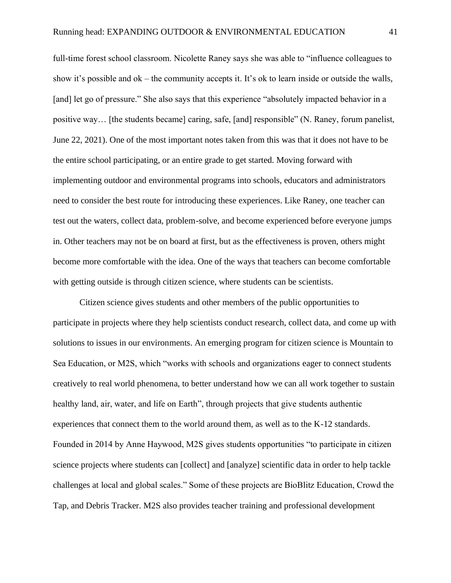full-time forest school classroom. Nicolette Raney says she was able to "influence colleagues to show it's possible and ok – the community accepts it. It's ok to learn inside or outside the walls, [and] let go of pressure." She also says that this experience "absolutely impacted behavior in a positive way… [the students became] caring, safe, [and] responsible" (N. Raney, forum panelist, June 22, 2021). One of the most important notes taken from this was that it does not have to be the entire school participating, or an entire grade to get started. Moving forward with implementing outdoor and environmental programs into schools, educators and administrators need to consider the best route for introducing these experiences. Like Raney, one teacher can test out the waters, collect data, problem-solve, and become experienced before everyone jumps in. Other teachers may not be on board at first, but as the effectiveness is proven, others might become more comfortable with the idea. One of the ways that teachers can become comfortable with getting outside is through citizen science, where students can be scientists.

Citizen science gives students and other members of the public opportunities to participate in projects where they help scientists conduct research, collect data, and come up with solutions to issues in our environments. An emerging program for citizen science is Mountain to Sea Education, or M2S, which "works with schools and organizations eager to connect students creatively to real world phenomena, to better understand how we can all work together to sustain healthy land, air, water, and life on Earth", through projects that give students authentic experiences that connect them to the world around them, as well as to the K-12 standards. Founded in 2014 by Anne Haywood, M2S gives students opportunities "to participate in citizen science projects where students can [collect] and [analyze] scientific data in order to help tackle challenges at local and global scales." Some of these projects are BioBlitz Education, Crowd the Tap, and Debris Tracker. M2S also provides teacher training and professional development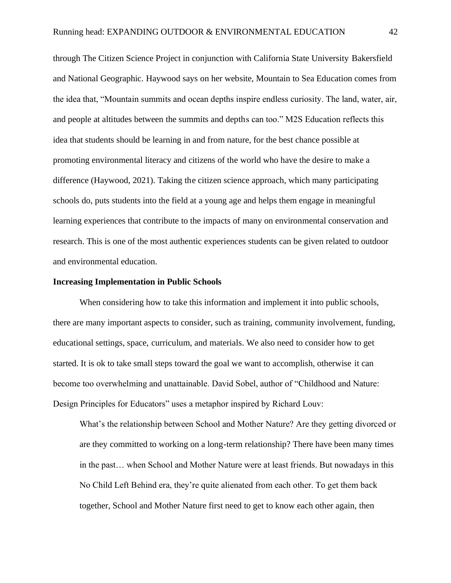through The Citizen Science Project in conjunction with California State University Bakersfield and National Geographic. Haywood says on her website, Mountain to Sea Education comes from the idea that, "Mountain summits and ocean depths inspire endless curiosity. The land, water, air, and people at altitudes between the summits and depths can too." M2S Education reflects this idea that students should be learning in and from nature, for the best chance possible at promoting environmental literacy and citizens of the world who have the desire to make a difference (Haywood, 2021). Taking the citizen science approach, which many participating schools do, puts students into the field at a young age and helps them engage in meaningful learning experiences that contribute to the impacts of many on environmental conservation and research. This is one of the most authentic experiences students can be given related to outdoor and environmental education.

#### **Increasing Implementation in Public Schools**

When considering how to take this information and implement it into public schools, there are many important aspects to consider, such as training, community involvement, funding, educational settings, space, curriculum, and materials. We also need to consider how to get started. It is ok to take small steps toward the goal we want to accomplish, otherwise it can become too overwhelming and unattainable. David Sobel, author of "Childhood and Nature: Design Principles for Educators" uses a metaphor inspired by Richard Louv:

What's the relationship between School and Mother Nature? Are they getting divorced or are they committed to working on a long-term relationship? There have been many times in the past… when School and Mother Nature were at least friends. But nowadays in this No Child Left Behind era, they're quite alienated from each other. To get them back together, School and Mother Nature first need to get to know each other again, then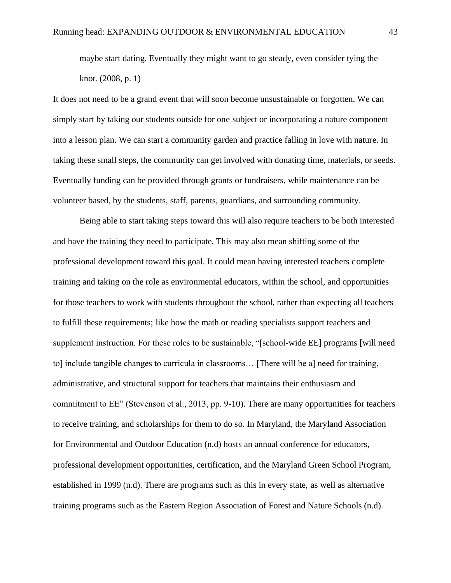maybe start dating. Eventually they might want to go steady, even consider tying the knot. (2008, p. 1)

It does not need to be a grand event that will soon become unsustainable or forgotten. We can simply start by taking our students outside for one subject or incorporating a nature component into a lesson plan. We can start a community garden and practice falling in love with nature. In taking these small steps, the community can get involved with donating time, materials, or seeds. Eventually funding can be provided through grants or fundraisers, while maintenance can be volunteer based, by the students, staff, parents, guardians, and surrounding community.

Being able to start taking steps toward this will also require teachers to be both interested and have the training they need to participate. This may also mean shifting some of the professional development toward this goal. It could mean having interested teachers complete training and taking on the role as environmental educators, within the school, and opportunities for those teachers to work with students throughout the school, rather than expecting all teachers to fulfill these requirements; like how the math or reading specialists support teachers and supplement instruction. For these roles to be sustainable, "[school-wide EE] programs [will need to] include tangible changes to curricula in classrooms… [There will be a] need for training, administrative, and structural support for teachers that maintains their enthusiasm and commitment to EE" (Stevenson et al., 2013, pp. 9-10). There are many opportunities for teachers to receive training, and scholarships for them to do so. In Maryland, the Maryland Association for Environmental and Outdoor Education (n.d) hosts an annual conference for educators, professional development opportunities, certification, and the Maryland Green School Program, established in 1999 (n.d). There are programs such as this in every state, as well as alternative training programs such as the Eastern Region Association of Forest and Nature Schools (n.d).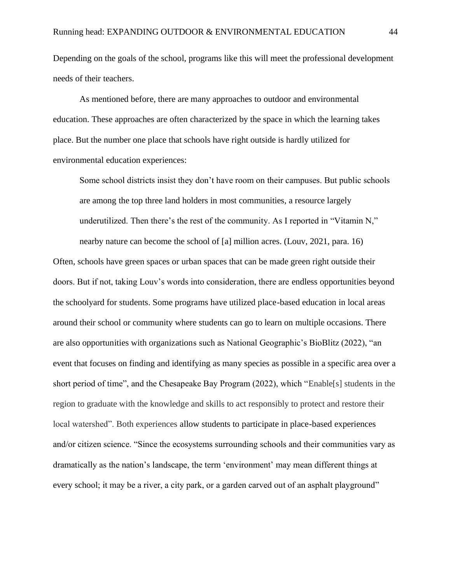Depending on the goals of the school, programs like this will meet the professional development needs of their teachers.

As mentioned before, there are many approaches to outdoor and environmental education. These approaches are often characterized by the space in which the learning takes place. But the number one place that schools have right outside is hardly utilized for environmental education experiences:

Some school districts insist they don't have room on their campuses. But public schools are among the top three land holders in most communities, a resource largely underutilized. Then there's the rest of the community. As I reported in "Vitamin N," nearby nature can become the school of [a] million acres. (Louv, 2021, para. 16)

Often, schools have green spaces or urban spaces that can be made green right outside their doors. But if not, taking Louv's words into consideration, there are endless opportunities beyond the schoolyard for students. Some programs have utilized place-based education in local areas around their school or community where students can go to learn on multiple occasions. There are also opportunities with organizations such as National Geographic's BioBlitz (2022), "an event that focuses on finding and identifying as many species as possible in a specific area over a short period of time", and the Chesapeake Bay Program (2022), which "Enable[s] students in the region to graduate with the knowledge and skills to act responsibly to protect and restore their local watershed". Both experiences allow students to participate in place-based experiences and/or citizen science. "Since the ecosystems surrounding schools and their communities vary as dramatically as the nation's landscape, the term 'environment' may mean different things at every school; it may be a river, a city park, or a garden carved out of an asphalt playground"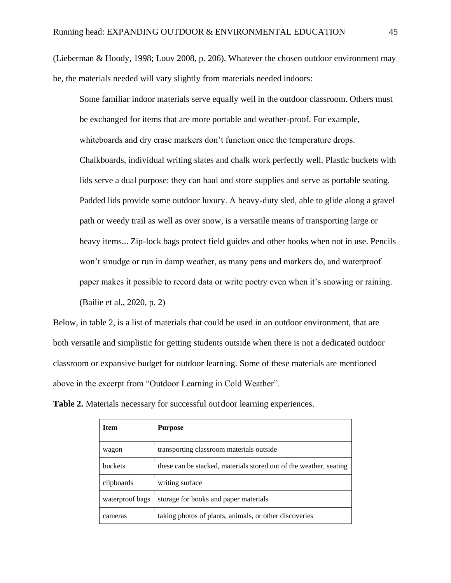(Lieberman & Hoody, 1998; Louv 2008, p. 206). Whatever the chosen outdoor environment may be, the materials needed will vary slightly from materials needed indoors:

Some familiar indoor materials serve equally well in the outdoor classroom. Others must be exchanged for items that are more portable and weather-proof. For example, whiteboards and dry erase markers don't function once the temperature drops. Chalkboards, individual writing slates and chalk work perfectly well. Plastic buckets with lids serve a dual purpose: they can haul and store supplies and serve as portable seating. Padded lids provide some outdoor luxury. A heavy-duty sled, able to glide along a gravel path or weedy trail as well as over snow, is a versatile means of transporting large or heavy items... Zip-lock bags protect field guides and other books when not in use. Pencils won't smudge or run in damp weather, as many pens and markers do, and waterproof paper makes it possible to record data or write poetry even when it's snowing or raining. (Bailie et al., 2020, p. 2)

Below, in table 2, is a list of materials that could be used in an outdoor environment, that are both versatile and simplistic for getting students outside when there is not a dedicated outdoor classroom or expansive budget for outdoor learning. Some of these materials are mentioned above in the excerpt from "Outdoor Learning in Cold Weather".

**Table 2.** Materials necessary for successful out door learning experiences.

| Item            | <b>Purpose</b>                                                     |  |
|-----------------|--------------------------------------------------------------------|--|
| wagon           | transporting classroom materials outside                           |  |
| <b>buckets</b>  | these can be stacked, materials stored out of the weather, seating |  |
| clipboards      | writing surface                                                    |  |
| waterproof bags | storage for books and paper materials                              |  |
| cameras         | taking photos of plants, animals, or other discoveries             |  |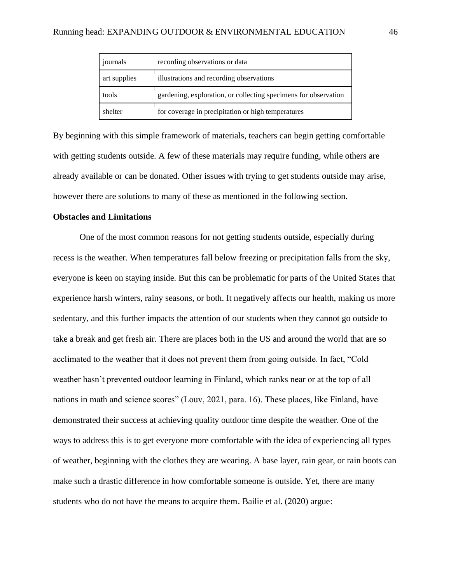| journals                                                 | recording observations or data                                  |  |  |
|----------------------------------------------------------|-----------------------------------------------------------------|--|--|
| illustrations and recording observations<br>art supplies |                                                                 |  |  |
| tools                                                    | gardening, exploration, or collecting specimens for observation |  |  |
| shelter                                                  | for coverage in precipitation or high temperatures              |  |  |

By beginning with this simple framework of materials, teachers can begin getting comfortable with getting students outside. A few of these materials may require funding, while others are already available or can be donated. Other issues with trying to get students outside may arise, however there are solutions to many of these as mentioned in the following section.

# **Obstacles and Limitations**

One of the most common reasons for not getting students outside, especially during recess is the weather. When temperatures fall below freezing or precipitation falls from the sky, everyone is keen on staying inside. But this can be problematic for parts of the United States that experience harsh winters, rainy seasons, or both. It negatively affects our health, making us more sedentary, and this further impacts the attention of our students when they cannot go outside to take a break and get fresh air. There are places both in the US and around the world that are so acclimated to the weather that it does not prevent them from going outside. In fact, "Cold weather hasn't prevented outdoor learning in Finland, which ranks near or at the top of all nations in math and science scores" (Louv, 2021, para. 16). These places, like Finland, have demonstrated their success at achieving quality outdoor time despite the weather. One of the ways to address this is to get everyone more comfortable with the idea of experiencing all types of weather, beginning with the clothes they are wearing. A base layer, rain gear, or rain boots can make such a drastic difference in how comfortable someone is outside. Yet, there are many students who do not have the means to acquire them. Bailie et al. (2020) argue: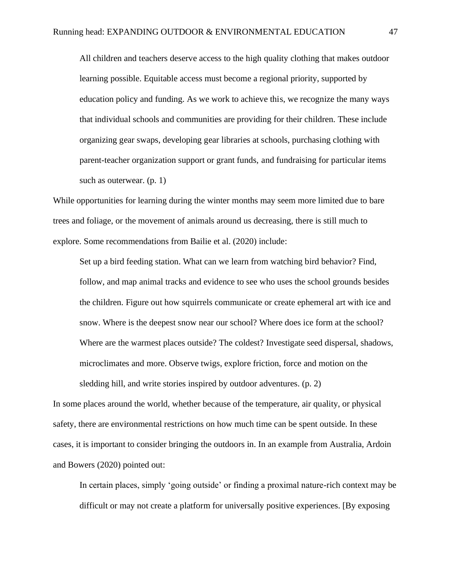All children and teachers deserve access to the high quality clothing that makes outdoor learning possible. Equitable access must become a regional priority, supported by education policy and funding. As we work to achieve this, we recognize the many ways that individual schools and communities are providing for their children. These include organizing gear swaps, developing gear libraries at schools, purchasing clothing with parent-teacher organization support or grant funds, and fundraising for particular items such as outerwear. (p. 1)

While opportunities for learning during the winter months may seem more limited due to bare trees and foliage, or the movement of animals around us decreasing, there is still much to explore. Some recommendations from Bailie et al. (2020) include:

Set up a bird feeding station. What can we learn from watching bird behavior? Find, follow, and map animal tracks and evidence to see who uses the school grounds besides the children. Figure out how squirrels communicate or create ephemeral art with ice and snow. Where is the deepest snow near our school? Where does ice form at the school? Where are the warmest places outside? The coldest? Investigate seed dispersal, shadows, microclimates and more. Observe twigs, explore friction, force and motion on the sledding hill, and write stories inspired by outdoor adventures. (p. 2)

In some places around the world, whether because of the temperature, air quality, or physical safety, there are environmental restrictions on how much time can be spent outside. In these cases, it is important to consider bringing the outdoors in. In an example from Australia, Ardoin and Bowers (2020) pointed out:

In certain places, simply 'going outside' or finding a proximal nature-rich context may be difficult or may not create a platform for universally positive experiences. [By exposing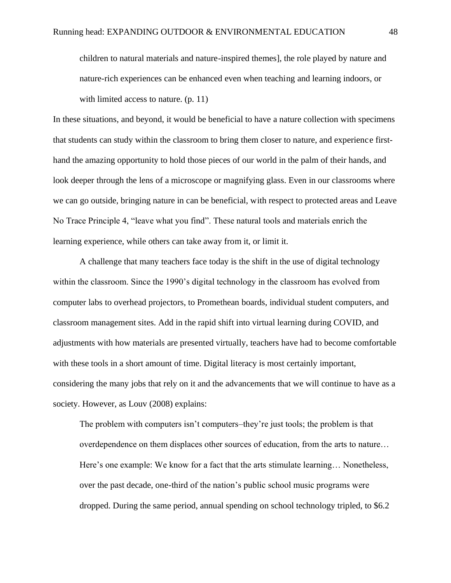children to natural materials and nature-inspired themes], the role played by nature and nature-rich experiences can be enhanced even when teaching and learning indoors, or with limited access to nature. (p. 11)

In these situations, and beyond, it would be beneficial to have a nature collection with specimens that students can study within the classroom to bring them closer to nature, and experience firsthand the amazing opportunity to hold those pieces of our world in the palm of their hands, and look deeper through the lens of a microscope or magnifying glass. Even in our classrooms where we can go outside, bringing nature in can be beneficial, with respect to protected areas and Leave No Trace Principle 4, "leave what you find". These natural tools and materials enrich the learning experience, while others can take away from it, or limit it.

A challenge that many teachers face today is the shift in the use of digital technology within the classroom. Since the 1990's digital technology in the classroom has evolved from computer labs to overhead projectors, to Promethean boards, individual student computers, and classroom management sites. Add in the rapid shift into virtual learning during COVID, and adjustments with how materials are presented virtually, teachers have had to become comfortable with these tools in a short amount of time. Digital literacy is most certainly important, considering the many jobs that rely on it and the advancements that we will continue to have as a society. However, as Louv (2008) explains:

The problem with computers isn't computers–they're just tools; the problem is that overdependence on them displaces other sources of education, from the arts to nature… Here's one example: We know for a fact that the arts stimulate learning… Nonetheless, over the past decade, one-third of the nation's public school music programs were dropped. During the same period, annual spending on school technology tripled, to \$6.2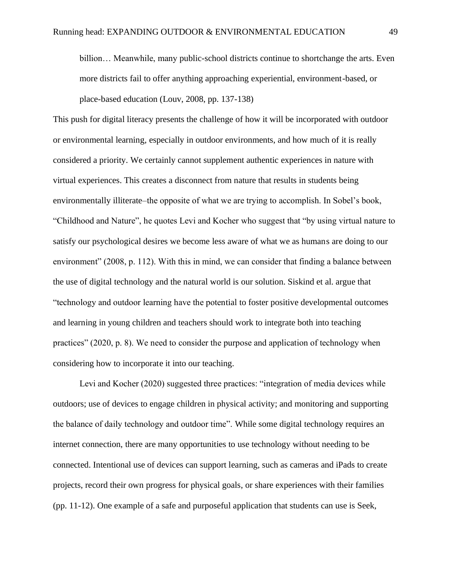billion… Meanwhile, many public-school districts continue to shortchange the arts. Even more districts fail to offer anything approaching experiential, environment-based, or place-based education (Louv, 2008, pp. 137-138)

This push for digital literacy presents the challenge of how it will be incorporated with outdoor or environmental learning, especially in outdoor environments, and how much of it is really considered a priority. We certainly cannot supplement authentic experiences in nature with virtual experiences. This creates a disconnect from nature that results in students being environmentally illiterate–the opposite of what we are trying to accomplish. In Sobel's book, "Childhood and Nature", he quotes Levi and Kocher who suggest that "by using virtual nature to satisfy our psychological desires we become less aware of what we as humans are doing to our environment" (2008, p. 112). With this in mind, we can consider that finding a balance between the use of digital technology and the natural world is our solution. Siskind et al. argue that "technology and outdoor learning have the potential to foster positive developmental outcomes and learning in young children and teachers should work to integrate both into teaching practices" (2020, p. 8). We need to consider the purpose and application of technology when considering how to incorporate it into our teaching.

Levi and Kocher (2020) suggested three practices: "integration of media devices while outdoors; use of devices to engage children in physical activity; and monitoring and supporting the balance of daily technology and outdoor time". While some digital technology requires an internet connection, there are many opportunities to use technology without needing to be connected. Intentional use of devices can support learning, such as cameras and iPads to create projects, record their own progress for physical goals, or share experiences with their families (pp. 11-12). One example of a safe and purposeful application that students can use is Seek,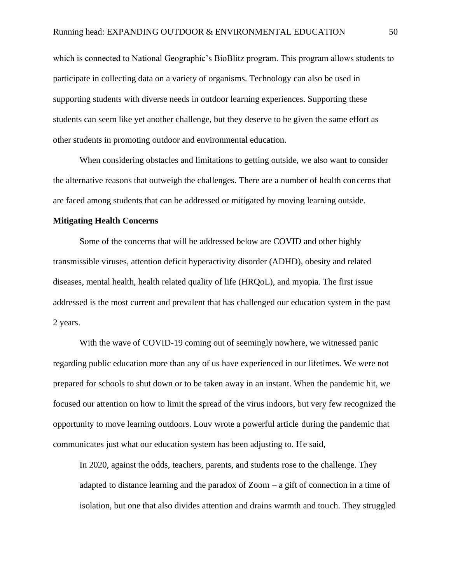which is connected to National Geographic's BioBlitz program. This program allows students to participate in collecting data on a variety of organisms. Technology can also be used in supporting students with diverse needs in outdoor learning experiences. Supporting these students can seem like yet another challenge, but they deserve to be given the same effort as other students in promoting outdoor and environmental education.

When considering obstacles and limitations to getting outside, we also want to consider the alternative reasons that outweigh the challenges. There are a number of health concerns that are faced among students that can be addressed or mitigated by moving learning outside.

### **Mitigating Health Concerns**

Some of the concerns that will be addressed below are COVID and other highly transmissible viruses, attention deficit hyperactivity disorder (ADHD), obesity and related diseases, mental health, health related quality of life (HRQoL), and myopia. The first issue addressed is the most current and prevalent that has challenged our education system in the past 2 years.

With the wave of COVID-19 coming out of seemingly nowhere, we witnessed panic regarding public education more than any of us have experienced in our lifetimes. We were not prepared for schools to shut down or to be taken away in an instant. When the pandemic hit, we focused our attention on how to limit the spread of the virus indoors, but very few recognized the opportunity to move learning outdoors. Louv wrote a powerful article during the pandemic that communicates just what our education system has been adjusting to. He said,

In 2020, against the odds, teachers, parents, and students rose to the challenge. They adapted to distance learning and the paradox of Zoom  $-$  a gift of connection in a time of isolation, but one that also divides attention and drains warmth and touch. They struggled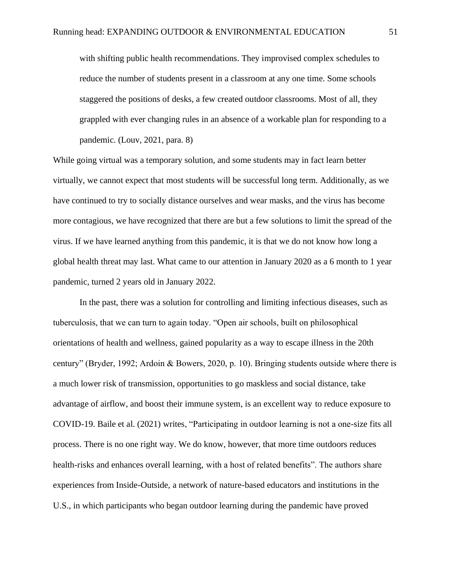with shifting public health recommendations. They improvised complex schedules to reduce the number of students present in a classroom at any one time. Some schools staggered the positions of desks, a few created outdoor classrooms. Most of all, they grappled with ever changing rules in an absence of a workable plan for responding to a pandemic. (Louv, 2021, para. 8)

While going virtual was a temporary solution, and some students may in fact learn better virtually, we cannot expect that most students will be successful long term. Additionally, as we have continued to try to socially distance ourselves and wear masks, and the virus has become more contagious, we have recognized that there are but a few solutions to limit the spread of the virus. If we have learned anything from this pandemic, it is that we do not know how long a global health threat may last. What came to our attention in January 2020 as a 6 month to 1 year pandemic, turned 2 years old in January 2022.

In the past, there was a solution for controlling and limiting infectious diseases, such as tuberculosis, that we can turn to again today. "Open air schools, built on philosophical orientations of health and wellness, gained popularity as a way to escape illness in the 20th century" (Bryder, 1992; Ardoin & Bowers, 2020, p. 10). Bringing students outside where there is a much lower risk of transmission, opportunities to go maskless and social distance, take advantage of airflow, and boost their immune system, is an excellent way to reduce exposure to COVID-19. Baile et al. (2021) writes, "Participating in outdoor learning is not a one-size fits all process. There is no one right way. We do know, however, that more time outdoors reduces health-risks and enhances overall learning, with a host of related benefits". The authors share experiences from Inside-Outside, a network of nature-based educators and institutions in the U.S., in which participants who began outdoor learning during the pandemic have proved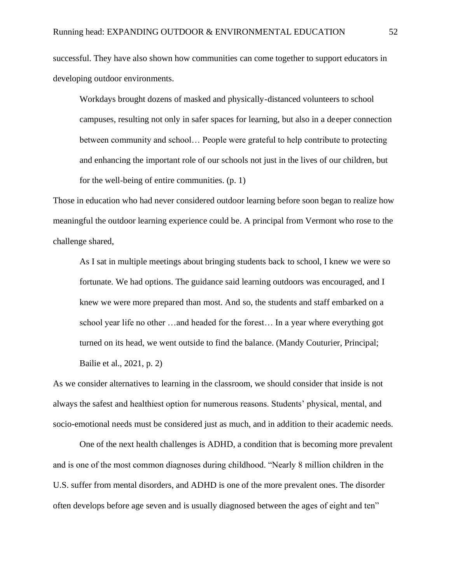successful. They have also shown how communities can come together to support educators in developing outdoor environments.

Workdays brought dozens of masked and physically-distanced volunteers to school campuses, resulting not only in safer spaces for learning, but also in a deeper connection between community and school… People were grateful to help contribute to protecting and enhancing the important role of our schools not just in the lives of our children, but for the well-being of entire communities. (p. 1)

Those in education who had never considered outdoor learning before soon began to realize how meaningful the outdoor learning experience could be. A principal from Vermont who rose to the challenge shared,

As I sat in multiple meetings about bringing students back to school, I knew we were so fortunate. We had options. The guidance said learning outdoors was encouraged, and I knew we were more prepared than most. And so, the students and staff embarked on a school year life no other …and headed for the forest… In a year where everything got turned on its head, we went outside to find the balance. (Mandy Couturier, Principal; Bailie et al., 2021, p. 2)

As we consider alternatives to learning in the classroom, we should consider that inside is not always the safest and healthiest option for numerous reasons. Students' physical, mental, and socio-emotional needs must be considered just as much, and in addition to their academic needs.

One of the next health challenges is ADHD, a condition that is becoming more prevalent and is one of the most common diagnoses during childhood. "Nearly 8 million children in the U.S. suffer from mental disorders, and ADHD is one of the more prevalent ones. The disorder often develops before age seven and is usually diagnosed between the ages of eight and ten"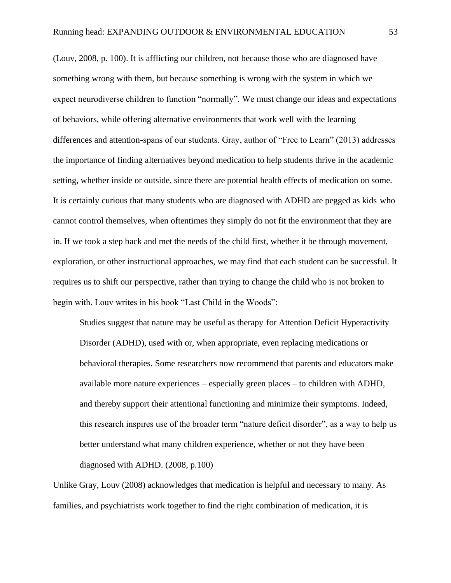(Louv, 2008, p. 100). It is afflicting our children, not because those who are diagnosed have something wrong with them, but because something is wrong with the system in which we expect neurodiverse children to function "normally". We must change our ideas and expectations of behaviors, while offering alternative environments that work well with the learning differences and attention-spans of our students. Gray, author of "Free to Learn" (2013) addresses the importance of finding alternatives beyond medication to help students thrive in the academic setting, whether inside or outside, since there are potential health effects of medication on some. It is certainly curious that many students who are diagnosed with ADHD are pegged as kids who cannot control themselves, when oftentimes they simply do not fit the environment that they are in. If we took a step back and met the needs of the child first, whether it be through movement, exploration, or other instructional approaches, we may find that each student can be successful. It requires us to shift our perspective, rather than trying to change the child who is not broken to begin with. Louv writes in his book "Last Child in the Woods":

Studies suggest that nature may be useful as therapy for Attention Deficit Hyperactivity Disorder (ADHD), used with or, when appropriate, even replacing medications or behavioral therapies. Some researchers now recommend that parents and educators make available more nature experiences – especially green places – to children with ADHD, and thereby support their attentional functioning and minimize their symptoms. Indeed, this research inspires use of the broader term "nature deficit disorder", as a way to help us better understand what many children experience, whether or not they have been diagnosed with ADHD. (2008, p.100)

Unlike Gray, Louv (2008) acknowledges that medication is helpful and necessary to many. As families, and psychiatrists work together to find the right combination of medication, it is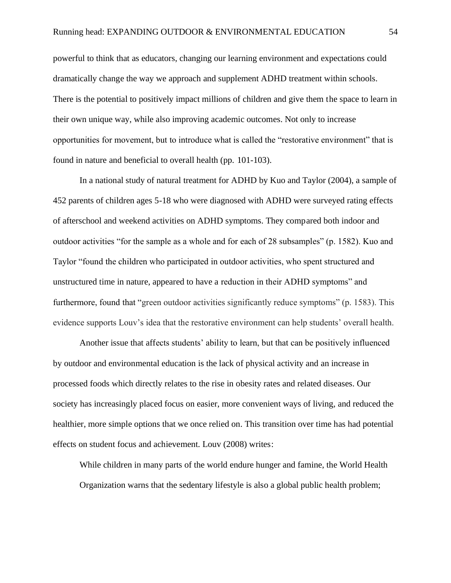powerful to think that as educators, changing our learning environment and expectations could dramatically change the way we approach and supplement ADHD treatment within schools. There is the potential to positively impact millions of children and give them the space to learn in their own unique way, while also improving academic outcomes. Not only to increase opportunities for movement, but to introduce what is called the "restorative environment" that is found in nature and beneficial to overall health (pp. 101-103).

In a national study of natural treatment for ADHD by Kuo and Taylor (2004), a sample of 452 parents of children ages 5-18 who were diagnosed with ADHD were surveyed rating effects of afterschool and weekend activities on ADHD symptoms. They compared both indoor and outdoor activities "for the sample as a whole and for each of 28 subsamples" (p. 1582). Kuo and Taylor "found the children who participated in outdoor activities, who spent structured and unstructured time in nature, appeared to have a reduction in their ADHD symptoms" and furthermore, found that "green outdoor activities significantly reduce symptoms" (p. 1583). This evidence supports Louv's idea that the restorative environment can help students' overall health.

Another issue that affects students' ability to learn, but that can be positively influenced by outdoor and environmental education is the lack of physical activity and an increase in processed foods which directly relates to the rise in obesity rates and related diseases. Our society has increasingly placed focus on easier, more convenient ways of living, and reduced the healthier, more simple options that we once relied on. This transition over time has had potential effects on student focus and achievement. Louv (2008) writes:

While children in many parts of the world endure hunger and famine, the World Health Organization warns that the sedentary lifestyle is also a global public health problem;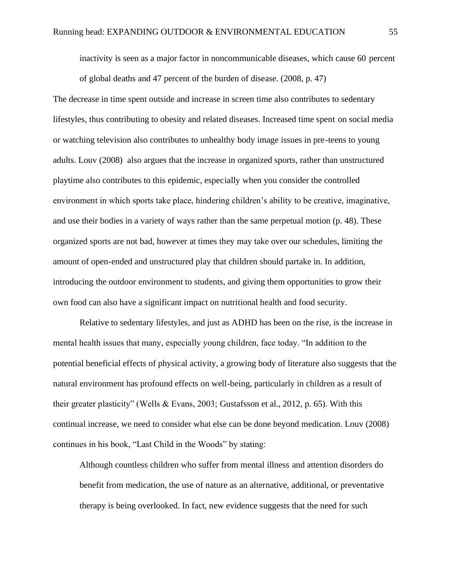inactivity is seen as a major factor in noncommunicable diseases, which cause 60 percent of global deaths and 47 percent of the burden of disease. (2008, p. 47)

The decrease in time spent outside and increase in screen time also contributes to sedentary lifestyles, thus contributing to obesity and related diseases. Increased time spent on social media or watching television also contributes to unhealthy body image issues in pre-teens to young adults. Louv (2008) also argues that the increase in organized sports, rather than unstructured playtime also contributes to this epidemic, especially when you consider the controlled environment in which sports take place, hindering children's ability to be creative, imaginative, and use their bodies in a variety of ways rather than the same perpetual motion (p. 48). These organized sports are not bad, however at times they may take over our schedules, limiting the amount of open-ended and unstructured play that children should partake in. In addition, introducing the outdoor environment to students, and giving them opportunities to grow their own food can also have a significant impact on nutritional health and food security.

Relative to sedentary lifestyles, and just as ADHD has been on the rise, is the increase in mental health issues that many, especially young children, face today. "In addition to the potential beneficial effects of physical activity, a growing body of literature also suggests that the natural environment has profound effects on well-being, particularly in children as a result of their greater plasticity" (Wells & Evans, 2003; Gustafsson et al., 2012, p. 65). With this continual increase, we need to consider what else can be done beyond medication. Louv (2008) continues in his book, "Last Child in the Woods" by stating:

Although countless children who suffer from mental illness and attention disorders do benefit from medication, the use of nature as an alternative, additional, or preventative therapy is being overlooked. In fact, new evidence suggests that the need for such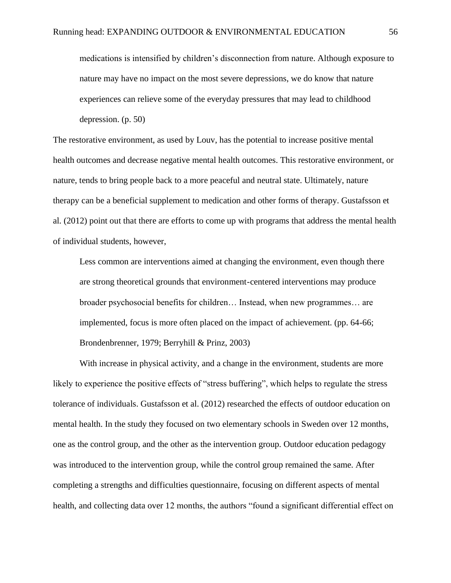medications is intensified by children's disconnection from nature. Although exposure to nature may have no impact on the most severe depressions, we do know that nature experiences can relieve some of the everyday pressures that may lead to childhood depression. (p. 50)

The restorative environment, as used by Louv, has the potential to increase positive mental health outcomes and decrease negative mental health outcomes. This restorative environment, or nature, tends to bring people back to a more peaceful and neutral state. Ultimately, nature therapy can be a beneficial supplement to medication and other forms of therapy. Gustafsson et al. (2012) point out that there are efforts to come up with programs that address the mental health of individual students, however,

Less common are interventions aimed at changing the environment, even though there are strong theoretical grounds that environment-centered interventions may produce broader psychosocial benefits for children… Instead, when new programmes… are implemented, focus is more often placed on the impact of achievement. (pp. 64-66; Brondenbrenner, 1979; Berryhill & Prinz, 2003)

With increase in physical activity, and a change in the environment, students are more likely to experience the positive effects of "stress buffering", which helps to regulate the stress tolerance of individuals. Gustafsson et al. (2012) researched the effects of outdoor education on mental health. In the study they focused on two elementary schools in Sweden over 12 months, one as the control group, and the other as the intervention group. Outdoor education pedagogy was introduced to the intervention group, while the control group remained the same. After completing a strengths and difficulties questionnaire, focusing on different aspects of mental health, and collecting data over 12 months, the authors "found a significant differential effect on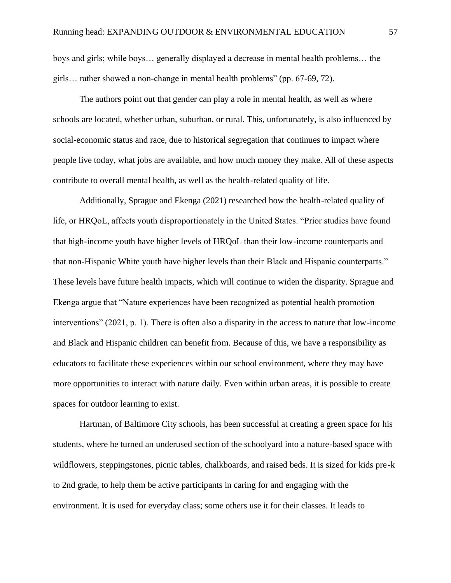boys and girls; while boys… generally displayed a decrease in mental health problems… the girls… rather showed a non-change in mental health problems" (pp. 67-69, 72).

The authors point out that gender can play a role in mental health, as well as where schools are located, whether urban, suburban, or rural. This, unfortunately, is also influenced by social-economic status and race, due to historical segregation that continues to impact where people live today, what jobs are available, and how much money they make. All of these aspects contribute to overall mental health, as well as the health-related quality of life.

Additionally, Sprague and Ekenga (2021) researched how the health-related quality of life, or HRQoL, affects youth disproportionately in the United States. "Prior studies have found that high-income youth have higher levels of HRQoL than their low-income counterparts and that non-Hispanic White youth have higher levels than their Black and Hispanic counterparts." These levels have future health impacts, which will continue to widen the disparity. Sprague and Ekenga argue that "Nature experiences have been recognized as potential health promotion interventions" (2021, p. 1). There is often also a disparity in the access to nature that low-income and Black and Hispanic children can benefit from. Because of this, we have a responsibility as educators to facilitate these experiences within our school environment, where they may have more opportunities to interact with nature daily. Even within urban areas, it is possible to create spaces for outdoor learning to exist.

Hartman, of Baltimore City schools, has been successful at creating a green space for his students, where he turned an underused section of the schoolyard into a nature-based space with wildflowers, steppingstones, picnic tables, chalkboards, and raised beds. It is sized for kids pre-k to 2nd grade, to help them be active participants in caring for and engaging with the environment. It is used for everyday class; some others use it for their classes. It leads to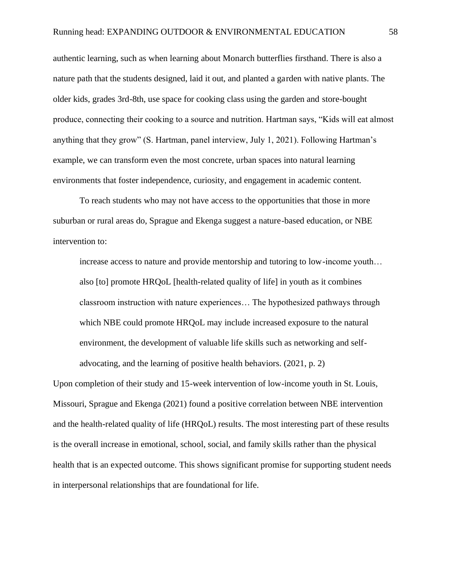authentic learning, such as when learning about Monarch butterflies firsthand. There is also a nature path that the students designed, laid it out, and planted a garden with native plants. The older kids, grades 3rd-8th, use space for cooking class using the garden and store-bought produce, connecting their cooking to a source and nutrition. Hartman says, "Kids will eat almost anything that they grow" (S. Hartman, panel interview, July 1, 2021). Following Hartman's example, we can transform even the most concrete, urban spaces into natural learning environments that foster independence, curiosity, and engagement in academic content.

To reach students who may not have access to the opportunities that those in more suburban or rural areas do, Sprague and Ekenga suggest a nature-based education, or NBE intervention to:

increase access to nature and provide mentorship and tutoring to low-income youth… also [to] promote HRQoL [health-related quality of life] in youth as it combines classroom instruction with nature experiences… The hypothesized pathways through which NBE could promote HRQoL may include increased exposure to the natural environment, the development of valuable life skills such as networking and selfadvocating, and the learning of positive health behaviors. (2021, p. 2)

Upon completion of their study and 15-week intervention of low-income youth in St. Louis, Missouri, Sprague and Ekenga (2021) found a positive correlation between NBE intervention and the health-related quality of life (HRQoL) results. The most interesting part of these results is the overall increase in emotional, school, social, and family skills rather than the physical health that is an expected outcome. This shows significant promise for supporting student needs in interpersonal relationships that are foundational for life.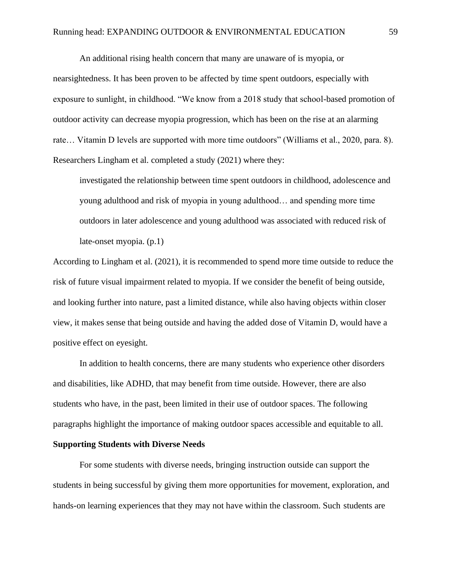An additional rising health concern that many are unaware of is myopia, or nearsightedness. It has been proven to be affected by time spent outdoors, especially with exposure to sunlight, in childhood. "We know from a 2018 study that school-based promotion of outdoor activity can decrease myopia progression, which has been on the rise at an alarming rate… Vitamin D levels are supported with more time outdoors" (Williams et al., 2020, para. 8). Researchers Lingham et al. completed a study (2021) where they:

investigated the relationship between time spent outdoors in childhood, adolescence and young adulthood and risk of myopia in young adulthood… and spending more time outdoors in later adolescence and young adulthood was associated with reduced risk of late-onset myopia. (p.1)

According to Lingham et al. (2021), it is recommended to spend more time outside to reduce the risk of future visual impairment related to myopia. If we consider the benefit of being outside, and looking further into nature, past a limited distance, while also having objects within closer view, it makes sense that being outside and having the added dose of Vitamin D, would have a positive effect on eyesight.

In addition to health concerns, there are many students who experience other disorders and disabilities, like ADHD, that may benefit from time outside. However, there are also students who have, in the past, been limited in their use of outdoor spaces. The following paragraphs highlight the importance of making outdoor spaces accessible and equitable to all. **Supporting Students with Diverse Needs**

For some students with diverse needs, bringing instruction outside can support the students in being successful by giving them more opportunities for movement, exploration, and hands-on learning experiences that they may not have within the classroom. Such students are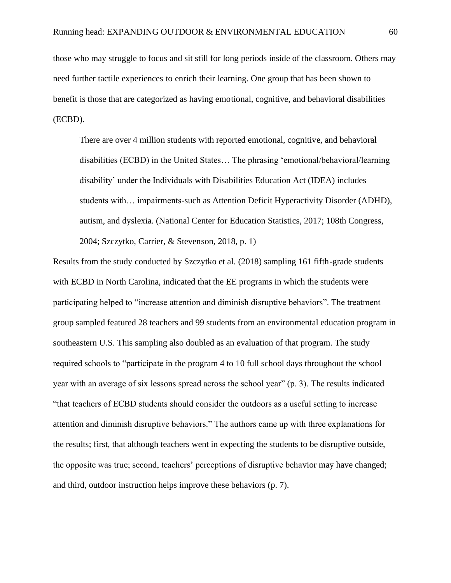those who may struggle to focus and sit still for long periods inside of the classroom. Others may need further tactile experiences to enrich their learning. One group that has been shown to benefit is those that are categorized as having emotional, cognitive, and behavioral disabilities (ECBD).

There are over 4 million students with reported emotional, cognitive, and behavioral disabilities (ECBD) in the United States… The phrasing 'emotional/behavioral/learning disability' under the Individuals with Disabilities Education Act (IDEA) includes students with… impairments-such as Attention Deficit Hyperactivity Disorder (ADHD), autism, and dyslexia. (National Center for Education Statistics, 2017; 108th Congress, 2004; Szczytko, Carrier, & Stevenson, 2018, p. 1)

Results from the study conducted by Szczytko et al. (2018) sampling 161 fifth-grade students with ECBD in North Carolina, indicated that the EE programs in which the students were participating helped to "increase attention and diminish disruptive behaviors". The treatment group sampled featured 28 teachers and 99 students from an environmental education program in southeastern U.S. This sampling also doubled as an evaluation of that program. The study required schools to "participate in the program 4 to 10 full school days throughout the school year with an average of six lessons spread across the school year" (p. 3). The results indicated "that teachers of ECBD students should consider the outdoors as a useful setting to increase attention and diminish disruptive behaviors." The authors came up with three explanations for the results; first, that although teachers went in expecting the students to be disruptive outside, the opposite was true; second, teachers' perceptions of disruptive behavior may have changed; and third, outdoor instruction helps improve these behaviors (p. 7).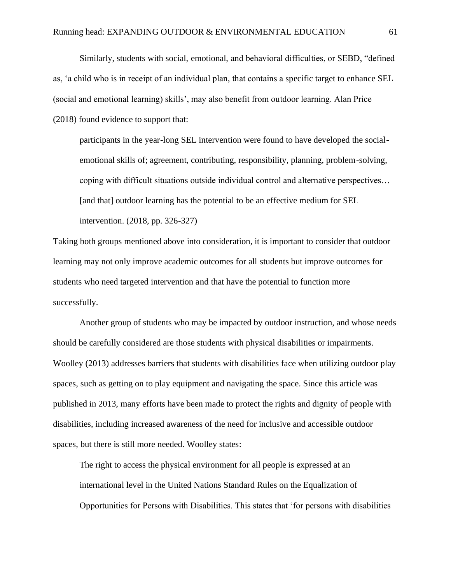Similarly, students with social, emotional, and behavioral difficulties, or SEBD, "defined as, 'a child who is in receipt of an individual plan, that contains a specific target to enhance SEL (social and emotional learning) skills', may also benefit from outdoor learning. Alan Price (2018) found evidence to support that:

participants in the year-long SEL intervention were found to have developed the socialemotional skills of; agreement, contributing, responsibility, planning, problem-solving, coping with difficult situations outside individual control and alternative perspectives… [and that] outdoor learning has the potential to be an effective medium for SEL intervention. (2018, pp. 326-327)

Taking both groups mentioned above into consideration, it is important to consider that outdoor learning may not only improve academic outcomes for all students but improve outcomes for students who need targeted intervention and that have the potential to function more successfully.

Another group of students who may be impacted by outdoor instruction, and whose needs should be carefully considered are those students with physical disabilities or impairments. Woolley (2013) addresses barriers that students with disabilities face when utilizing outdoor play spaces, such as getting on to play equipment and navigating the space. Since this article was published in 2013, many efforts have been made to protect the rights and dignity of people with disabilities, including increased awareness of the need for inclusive and accessible outdoor spaces, but there is still more needed. Woolley states:

The right to access the physical environment for all people is expressed at an international level in the United Nations Standard Rules on the Equalization of Opportunities for Persons with Disabilities. This states that 'for persons with disabilities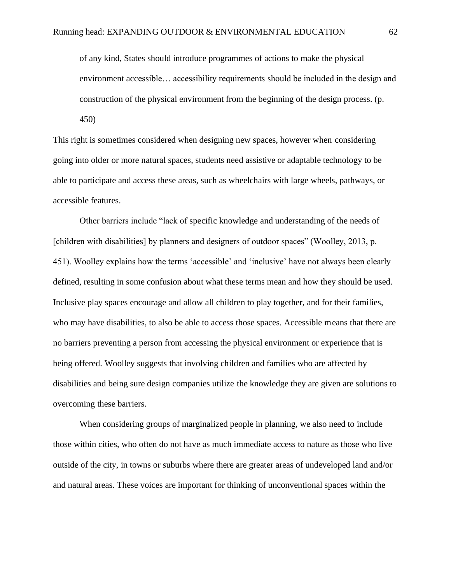of any kind, States should introduce programmes of actions to make the physical environment accessible… accessibility requirements should be included in the design and construction of the physical environment from the beginning of the design process. (p. 450)

This right is sometimes considered when designing new spaces, however when considering going into older or more natural spaces, students need assistive or adaptable technology to be able to participate and access these areas, such as wheelchairs with large wheels, pathways, or accessible features.

Other barriers include "lack of specific knowledge and understanding of the needs of [children with disabilities] by planners and designers of outdoor spaces" (Woolley, 2013, p. 451). Woolley explains how the terms 'accessible' and 'inclusive' have not always been clearly defined, resulting in some confusion about what these terms mean and how they should be used. Inclusive play spaces encourage and allow all children to play together, and for their families, who may have disabilities, to also be able to access those spaces. Accessible means that there are no barriers preventing a person from accessing the physical environment or experience that is being offered. Woolley suggests that involving children and families who are affected by disabilities and being sure design companies utilize the knowledge they are given are solutions to overcoming these barriers.

When considering groups of marginalized people in planning, we also need to include those within cities, who often do not have as much immediate access to nature as those who live outside of the city, in towns or suburbs where there are greater areas of undeveloped land and/or and natural areas. These voices are important for thinking of unconventional spaces within the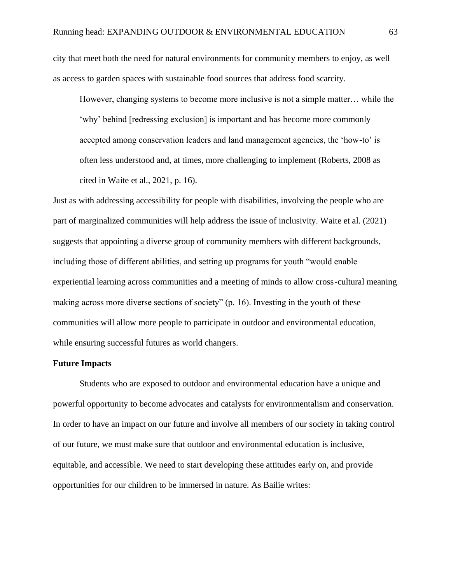city that meet both the need for natural environments for community members to enjoy, as well as access to garden spaces with sustainable food sources that address food scarcity.

However, changing systems to become more inclusive is not a simple matter… while the 'why' behind [redressing exclusion] is important and has become more commonly accepted among conservation leaders and land management agencies, the 'how-to' is often less understood and, at times, more challenging to implement (Roberts, 2008 as cited in Waite et al., 2021, p. 16).

Just as with addressing accessibility for people with disabilities, involving the people who are part of marginalized communities will help address the issue of inclusivity. Waite et al. (2021) suggests that appointing a diverse group of community members with different backgrounds, including those of different abilities, and setting up programs for youth "would enable experiential learning across communities and a meeting of minds to allow cross-cultural meaning making across more diverse sections of society" (p. 16). Investing in the youth of these communities will allow more people to participate in outdoor and environmental education, while ensuring successful futures as world changers.

## **Future Impacts**

Students who are exposed to outdoor and environmental education have a unique and powerful opportunity to become advocates and catalysts for environmentalism and conservation. In order to have an impact on our future and involve all members of our society in taking control of our future, we must make sure that outdoor and environmental education is inclusive, equitable, and accessible. We need to start developing these attitudes early on, and provide opportunities for our children to be immersed in nature. As Bailie writes: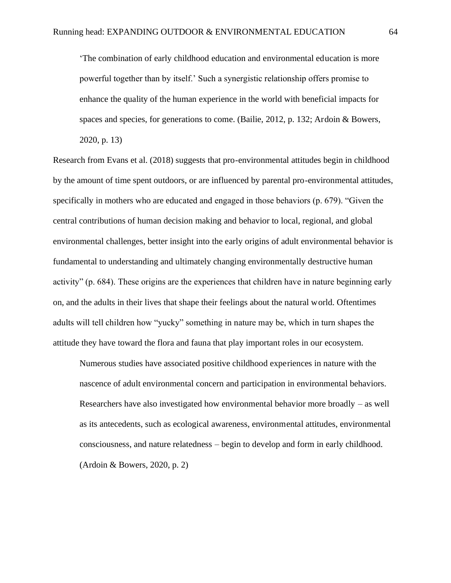'The combination of early childhood education and environmental education is more powerful together than by itself.' Such a synergistic relationship offers promise to enhance the quality of the human experience in the world with beneficial impacts for spaces and species, for generations to come. (Bailie, 2012, p. 132; Ardoin & Bowers, 2020, p. 13)

Research from Evans et al. (2018) suggests that pro-environmental attitudes begin in childhood by the amount of time spent outdoors, or are influenced by parental pro-environmental attitudes, specifically in mothers who are educated and engaged in those behaviors (p. 679). "Given the central contributions of human decision making and behavior to local, regional, and global environmental challenges, better insight into the early origins of adult environmental behavior is fundamental to understanding and ultimately changing environmentally destructive human activity" (p. 684). These origins are the experiences that children have in nature beginning early on, and the adults in their lives that shape their feelings about the natural world. Oftentimes adults will tell children how "yucky" something in nature may be, which in turn shapes the attitude they have toward the flora and fauna that play important roles in our ecosystem.

Numerous studies have associated positive childhood experiences in nature with the nascence of adult environmental concern and participation in environmental behaviors. Researchers have also investigated how environmental behavior more broadly – as well as its antecedents, such as ecological awareness, environmental attitudes, environmental consciousness, and nature relatedness – begin to develop and form in early childhood. (Ardoin & Bowers, 2020, p. 2)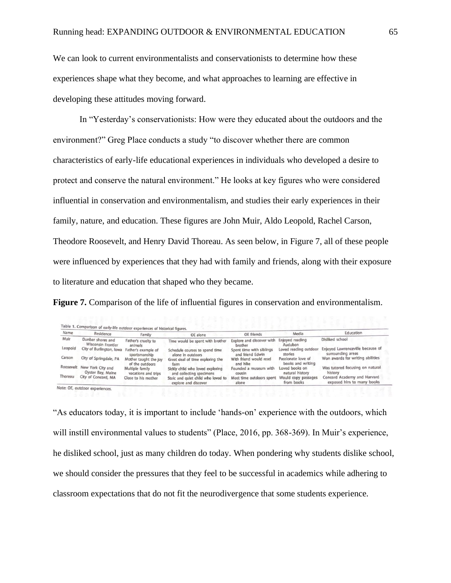We can look to current environmentalists and conservationists to determine how these experiences shape what they become, and what approaches to learning are effective in developing these attitudes moving forward.

In "Yesterday's conservationists: How were they educated about the outdoors and the environment?" Greg Place conducts a study "to discover whether there are common characteristics of early-life educational experiences in individuals who developed a desire to protect and conserve the natural environment." He looks at key figures who were considered influential in conservation and environmentalism, and studies their early experiences in their family, nature, and education. These figures are John Muir, Aldo Leopold, Rachel Carson, Theodore Roosevelt, and Henry David Thoreau. As seen below, in Figure 7, all of these people were influenced by experiences that they had with family and friends, along with their exposure to literature and education that shaped who they became.

**Figure 7.** Comparison of the life of influential figures in conservation and environmentalism.

| Name    | Residence                                        | Family                                   | OE alone                                                     | <b>OE</b> friends                            | Media                                   | Education                                                                   |
|---------|--------------------------------------------------|------------------------------------------|--------------------------------------------------------------|----------------------------------------------|-----------------------------------------|-----------------------------------------------------------------------------|
| Muir    | Dunbar shores and<br><b>Wisconsin Frontier</b>   | Father's cruelty to<br>animals           | Time would be spent with brother                             | Explore and discover with<br>brother         | Enjoyed reading<br>Audubon              | Disliked school                                                             |
| Leopold | City of Burlington, Iowa                         | Father's example of<br>sportsmanship     | Schedule courses to spend time<br>alone in outdoors          | Spent time with siblings<br>and friend Edwin | stories                                 | Loved reading outdoor Enjoyed Lawrenceville because of<br>surrounding areas |
| Carson  | City of Springdale, PA                           | Mother taught the Joy<br>of the outdoors | Great deal of time exploring the<br>farm                     | With friend would read<br>and hike           | Passionate love of<br>books and writing | Won awards for writing abilities                                            |
|         | Roosevelt New York City and<br>Oyster Bay, Maine | Multiple family<br>vacations and trips   | Sickly child who loved exploring<br>and collecting specimens | Founded a museum with<br>cousin              | Loved books on<br>natural history       | Was tutored focusing on natural<br>history                                  |
| Thoreau | City of Concord, MA                              | Close to his mother                      | Stoic and quiet child who loved to<br>explore and discover   | Most time outdoors spent<br>alone            | Would copy passages<br>from books       | Concord Academy and Harvard<br>exposed him to many books                    |

"As educators today, it is important to include 'hands-on' experience with the outdoors, which will instill environmental values to students" (Place, 2016, pp. 368-369). In Muir's experience, he disliked school, just as many children do today. When pondering why students dislike school, we should consider the pressures that they feel to be successful in academics while adhering to classroom expectations that do not fit the neurodivergence that some students experience.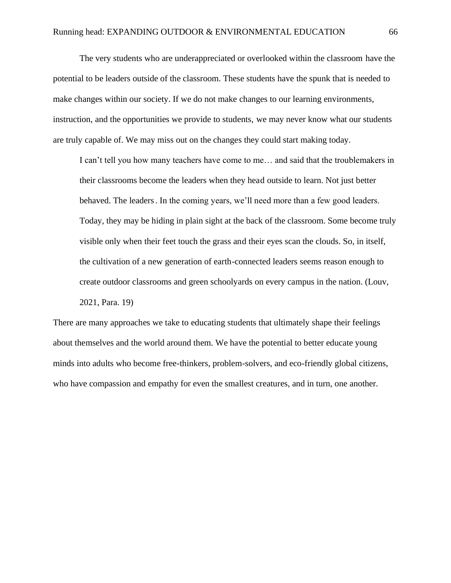The very students who are underappreciated or overlooked within the classroom have the potential to be leaders outside of the classroom. These students have the spunk that is needed to make changes within our society. If we do not make changes to our learning environments, instruction, and the opportunities we provide to students, we may never know what our students are truly capable of. We may miss out on the changes they could start making today.

I can't tell you how many teachers have come to me… and said that the troublemakers in their classrooms become the leaders when they head outside to learn. Not just better behaved. The leaders. In the coming years, we'll need more than a few good leaders. Today, they may be hiding in plain sight at the back of the classroom. Some become truly visible only when their feet touch the grass and their eyes scan the clouds. So, in itself, the cultivation of a new generation of earth-connected leaders seems reason enough to create outdoor classrooms and green schoolyards on every campus in the nation. (Louv, 2021, Para. 19)

There are many approaches we take to educating students that ultimately shape their feelings about themselves and the world around them. We have the potential to better educate young minds into adults who become free-thinkers, problem-solvers, and eco-friendly global citizens, who have compassion and empathy for even the smallest creatures, and in turn, one another.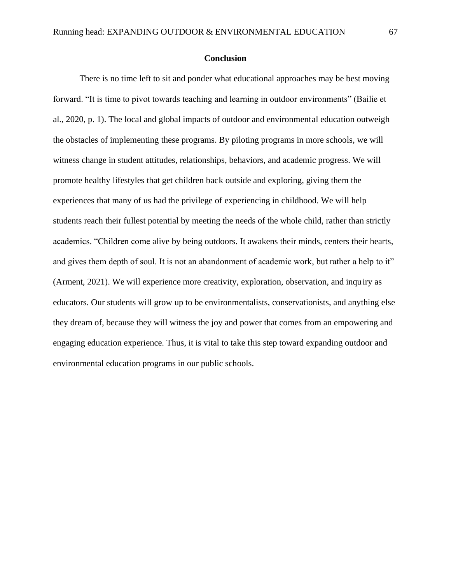## **Conclusion**

There is no time left to sit and ponder what educational approaches may be best moving forward. "It is time to pivot towards teaching and learning in outdoor environments" (Bailie et al., 2020, p. 1). The local and global impacts of outdoor and environmental education outweigh the obstacles of implementing these programs. By piloting programs in more schools, we will witness change in student attitudes, relationships, behaviors, and academic progress. We will promote healthy lifestyles that get children back outside and exploring, giving them the experiences that many of us had the privilege of experiencing in childhood. We will help students reach their fullest potential by meeting the needs of the whole child, rather than strictly academics. "Children come alive by being outdoors. It awakens their minds, centers their hearts, and gives them depth of soul. It is not an abandonment of academic work, but rather a help to it" (Arment, 2021). We will experience more creativity, exploration, observation, and inquiry as educators. Our students will grow up to be environmentalists, conservationists, and anything else they dream of, because they will witness the joy and power that comes from an empowering and engaging education experience. Thus, it is vital to take this step toward expanding outdoor and environmental education programs in our public schools.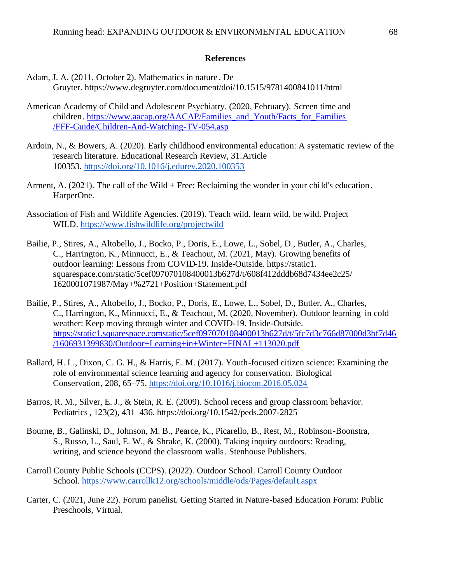### **References**

- Adam, J. A. (2011, October 2). Mathematics in nature . De Gruyter. https://www.degruyter.com/document/doi/10.1515/9781400841011/html
- American Academy of Child and Adolescent Psychiatry. (2020, February). Screen time and children. [https://www.aacap.org/AACAP/Families\\_and\\_Youth/Facts\\_for\\_Families](https://www.aacap.org/AACAP/Families_and_Youth/Facts_for_Families/FFF-Guide/Children-And-Watching-TV-054.asp) [/FFF-Guide/Children-And-Watching-TV-054.asp](https://www.aacap.org/AACAP/Families_and_Youth/Facts_for_Families/FFF-Guide/Children-And-Watching-TV-054.asp)
- Ardoin, N., & Bowers, A. (2020). Early childhood environmental education: A systematic review of the research literature. Educational Research Review, 31.Article 100353. <https://doi.org/10.1016/j.edurev.2020.100353>
- Arment, A. (2021). The call of the Wild + Free: Reclaiming the wonder in your child's education. HarperOne.
- Association of Fish and Wildlife Agencies. (2019). Teach wild. learn wild. be wild. Project WILD.<https://www.fishwildlife.org/projectwild>
- Bailie, P., Stires, A., Altobello, J., Bocko, P., Doris, E., Lowe, L., Sobel, D., Butler, A., Charles, C., Harrington, K., Minnucci, E., & Teachout, M. (2021, May). Growing benefits of outdoor learning: Lessons from COVID-19. Inside-Outside. https://static1. squarespace.com/static/5cef097070108400013b627d/t/608f412dddb68d7434ee2c25/ 1620001071987/May+%2721+Position+Statement.pdf
- Bailie, P., Stires, A., Altobello, J., Bocko, P., Doris, E., Lowe, L., Sobel, D., Butler, A., Charles, C., Harrington, K., Minnucci, E., & Teachout, M. (2020, November). Outdoor learning in cold weather: Keep moving through winter and COVID-19. Inside-Outside. [https://static1.squarespace.comstatic/5cef097070108400013b627d/t/5fc7d3c766d87000d3bf7d46](https://static1.squarespace.comstatic/5cef097070108400013b627d/t/5fc7d3c766d87000d3bf7d46/1606931399830/Outdoor+Learning+in+Winter+FINAL+113020.pdf) [/1606931399830/Outdoor+Learning+in+Winter+FINAL+113020.pdf](https://static1.squarespace.comstatic/5cef097070108400013b627d/t/5fc7d3c766d87000d3bf7d46/1606931399830/Outdoor+Learning+in+Winter+FINAL+113020.pdf)
- Ballard, H. L., Dixon, C. G. H., & Harris, E. M. (2017). Youth-focused citizen science: Examining the role of environmental science learning and agency for conservation. Biological Conservation, 208, 65–75.<https://doi.org/10.1016/j.biocon.2016.05.024>
- Barros, R. M., Silver, E. J., & Stein, R. E. (2009). School recess and group classroom behavior. Pediatrics, 123(2), 431–436. https://doi.org/10.1542/peds.2007-2825
- Bourne, B., Galinski, D., Johnson, M. B., Pearce, K., Picarello, B., Rest, M., Robinson-Boonstra, S., Russo, L., Saul, E. W., & Shrake, K. (2000). Taking inquiry outdoors: Reading, writing, and science beyond the classroom walls. Stenhouse Publishers.
- Carroll County Public Schools (CCPS). (2022). Outdoor School. Carroll County Outdoor School.<https://www.carrollk12.org/schools/middle/ods/Pages/default.aspx>
- Carter, C. (2021, June 22). Forum panelist. Getting Started in Nature-based Education Forum: Public Preschools, Virtual.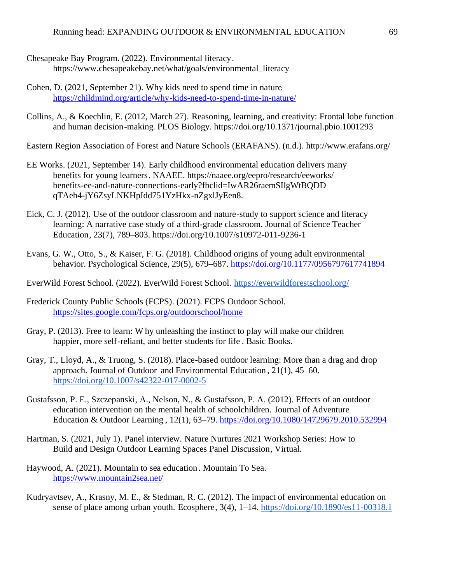- Chesapeake Bay Program. (2022). Environmental literacy. https://www.chesapeakebay.net/what/goals/environmental\_literacy
- Cohen, D. (2021, September 21). Why kids need to spend time in nature. <https://childmind.org/article/why-kids-need-to-spend-time-in-nature/>
- Collins, A., & Koechlin, E. (2012, March 27). Reasoning, learning, and creativity: Frontal lobe function and human decision-making. PLOS Biology. https://doi.org/10.1371/journal.pbio.1001293

Eastern Region Association of Forest and Nature Schools (ERAFANS). (n.d.). http://www.erafans.org/

- EE Works. (2021, September 14). Early childhood environmental education delivers many benefits for young learners. NAAEE. https://naaee.org/eepro/research/eeworks/ benefits-ee-and-nature-connections-early?fbclid=IwAR26raemSIlgWtBQDD qTAeh4-jY6ZsyLNKHpIdd751YzHkx-nZgxlJyEen8.
- Eick, C. J. (2012). Use of the outdoor classroom and nature-study to support science and literacy learning: A narrative case study of a third-grade classroom. Journal of Science Teacher Education, 23(7), 789–803. https://doi.org/10.1007/s10972-011-9236-1
- Evans, G. W., Otto, S., & Kaiser, F. G. (2018). Childhood origins of young adult environmental behavior. Psychological Science, 29(5), 679–687.<https://doi.org/10.1177/0956797617741894>
- EverWild Forest School. (2022). EverWild Forest School.<https://everwildforestschool.org/>
- Frederick County Public Schools (FCPS). (2021). FCPS Outdoor School. <https://sites.google.com/fcps.org/outdoorschool/home>
- Gray, P. (2013). Free to learn: W hy unleashing the instinct to play will make our children happier, more self-reliant, and better students for life . Basic Books.
- Gray, T., Lloyd, A., & Truong, S. (2018). Place-based outdoor learning: More than a drag and drop approach. Journal of Outdoor and Environmental Education , 21(1), 45–60. <https://doi.org/10.1007/s42322-017-0002-5>
- Gustafsson, P. E., Szczepanski, A., Nelson, N., & Gustafsson, P. A. (2012). Effects of an outdoor education intervention on the mental health of schoolchildren. Journal of Adventure Education & Outdoor Learning , 12(1), 63–79. <https://doi.org/10.1080/14729679.2010.532994>
- Hartman, S. (2021, July 1). Panel interview. Nature Nurtures 2021 Workshop Series: How to Build and Design Outdoor Learning Spaces Panel Discussion, Virtual.
- Haywood, A. (2021). Mountain to sea education . Mountain To Sea. <https://www.mountain2sea.net/>
- Kudryavtsev, A., Krasny, M. E., & Stedman, R. C. (2012). The impact of environmental education on sense of place among urban youth. Ecosphere, 3(4), 1–14.<https://doi.org/10.1890/es11-00318.1>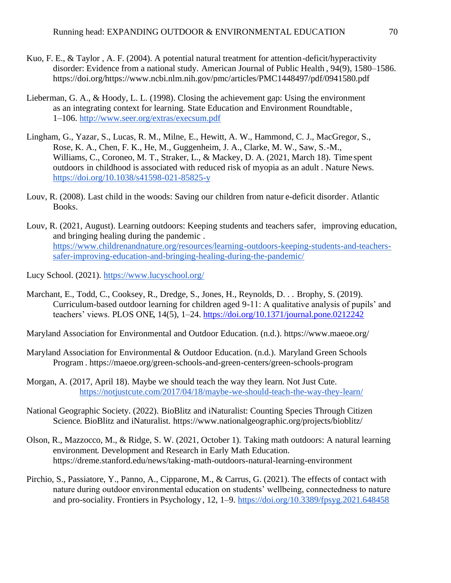- Kuo, F. E., & Taylor , A. F. (2004). A potential natural treatment for attention-deficit/hyperactivity disorder: Evidence from a national study. American Journal of Public Health , 94(9), 1580–1586. https://doi.org/https://www.ncbi.nlm.nih.gov/pmc/articles/PMC1448497/pdf/0941580.pdf
- Lieberman, G. A., & Hoody, L. L. (1998). Closing the achievement gap: Using the environment as an integrating context for learning. State Education and Environment Roundtable, 1–106.<http://www.seer.org/extras/execsum.pdf>
- Lingham, G., Yazar, S., Lucas, R. M., Milne, E., Hewitt, A. W., Hammond, C. J., MacGregor, S., Rose, K. A., Chen, F. K., He, M., Guggenheim, J. A., Clarke, M. W., Saw, S.-M., Williams, C., Coroneo, M. T., Straker, L., & Mackey, D. A. (2021, March 18). Time spent outdoors in childhood is associated with reduced risk of myopia as an adult . Nature News. <https://doi.org/10.1038/s41598-021-85825-y>
- Louv, R. (2008). Last child in the woods: Saving our children from natur e-deficit disorder. Atlantic Books.
- Louv, R. (2021, August). Learning outdoors: Keeping students and teachers safer, improving education, and bringing healing during the pandemic . [https://www.childrenandnature.org/resources/learning-outdoors-keeping-students-and-teachers](https://www.childrenandnature.org/resources/learning-outdoors-keeping-students-and-teachers-safer-improving-education-and-bringing-healing-during-the-pandemic/)[safer-improving-education-and-bringing-healing-during-the-pandemic/](https://www.childrenandnature.org/resources/learning-outdoors-keeping-students-and-teachers-safer-improving-education-and-bringing-healing-during-the-pandemic/)

Lucy School. (2021).<https://www.lucyschool.org/>

- Marchant, E., Todd, C., Cooksey, R., Dredge, S., Jones, H., Reynolds, D. . . Brophy, S. (2019). Curriculum-based outdoor learning for children aged 9-11: A qualitative analysis of pupils' and teachers' views. PLOS ONE, 14(5), 1–24.<https://doi.org/10.1371/journal.pone.0212242>
- Maryland Association for Environmental and Outdoor Education. (n.d.). https://www.maeoe.org/
- Maryland Association for Environmental & Outdoor Education. (n.d.). Maryland Green Schools Program . https://maeoe.org/green-schools-and-green-centers/green-schools-program
- Morgan, A. (2017, April 18). Maybe we should teach the way they learn. Not Just Cute. <https://notjustcute.com/2017/04/18/maybe-we-should-teach-the-way-they-learn/>
- National Geographic Society. (2022). BioBlitz and iNaturalist: Counting Species Through Citizen Science. BioBlitz and iNaturalist. https://www.nationalgeographic.org/projects/bioblitz/
- Olson, R., Mazzocco, M., & Ridge, S. W. (2021, October 1). Taking math outdoors: A natural learning environment. Development and Research in Early Math Education. https://dreme.stanford.edu/news/taking-math-outdoors-natural-learning-environment
- Pirchio, S., Passiatore, Y., Panno, A., Cipparone, M., & Carrus, G. (2021). The effects of contact with nature during outdoor environmental education on students' wellbeing, connectedness to nature and pro-sociality. Frontiers in Psychology , 12, 1–9.<https://doi.org/10.3389/fpsyg.2021.648458>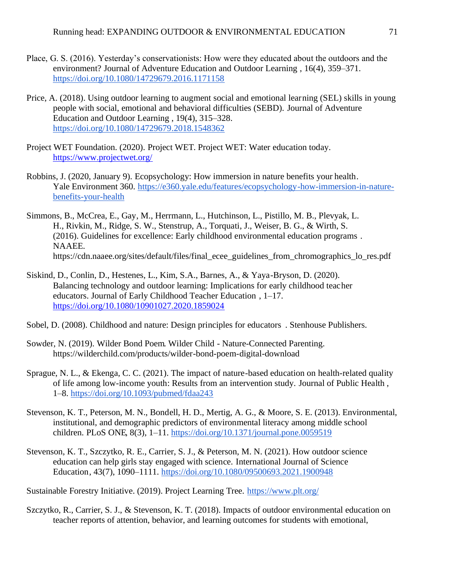- Place, G. S. (2016). Yesterday's conservationists: How were they educated about the outdoors and the environment? Journal of Adventure Education and Outdoor Learning , 16(4), 359–371. <https://doi.org/10.1080/14729679.2016.1171158>
- Price, A. (2018). Using outdoor learning to augment social and emotional learning (SEL) skills in young people with social, emotional and behavioral difficulties (SEBD). Journal of Adventure Education and Outdoor Learning , 19(4), 315–328. <https://doi.org/10.1080/14729679.2018.1548362>
- Project WET Foundation. (2020). Project WET. Project WET: Water education today. <https://www.projectwet.org/>
- Robbins, J. (2020, January 9). Ecopsychology: How immersion in nature benefits your health. Yale Environment 360. [https://e360.yale.edu/features/ecopsychology-how-immersion-in-nature](https://e360.yale.edu/features/ecopsychology-how-immersion-in-nature-benefits-your-health)[benefits-your-health](https://e360.yale.edu/features/ecopsychology-how-immersion-in-nature-benefits-your-health)
- Simmons, B., McCrea, E., Gay, M., Herrmann, L., Hutchinson, L., Pistillo, M. B., Plevyak, L. H., Rivkin, M., Ridge, S. W., Stenstrup, A., Torquati, J., Weiser, B. G., & Wirth, S. (2016). Guidelines for excellence: Early childhood environmental education programs . NAAEE. https://cdn.naaee.org/sites/default/files/final\_ecee\_guidelines\_from\_chromographics\_lo\_res.pdf
- Siskind, D., Conlin, D., Hestenes, L., Kim, S.A., Barnes, A., & Yaya-Bryson, D. (2020). Balancing technology and outdoor learning: Implications for early childhood teacher educators. Journal of Early Childhood Teacher Education , 1–17. <https://doi.org/10.1080/10901027.2020.1859024>
- Sobel, D. (2008). Childhood and nature: Design principles for educators . Stenhouse Publishers.
- Sowder, N. (2019). Wilder Bond Poem. Wilder Child Nature-Connected Parenting. https://wilderchild.com/products/wilder-bond-poem-digital-download
- Sprague, N. L., & Ekenga, C. C. (2021). The impact of nature-based education on health-related quality of life among low-income youth: Results from an intervention study. Journal of Public Health , 1–8.<https://doi.org/10.1093/pubmed/fdaa243>
- Stevenson, K. T., Peterson, M. N., Bondell, H. D., Mertig, A. G., & Moore, S. E. (2013). Environmental, institutional, and demographic predictors of environmental literacy among middle school children. PLoS ONE, 8(3), 1–11.<https://doi.org/10.1371/journal.pone.0059519>
- Stevenson, K. T., Szczytko, R. E., Carrier, S. J., & Peterson, M. N. (2021). How outdoor science education can help girls stay engaged with science. International Journal of Science Education, 43(7), 1090–1111.<https://doi.org/10.1080/09500693.2021.1900948>

Sustainable Forestry Initiative. (2019). Project Learning Tree.<https://www.plt.org/>

Szczytko, R., Carrier, S. J., & Stevenson, K. T. (2018). Impacts of outdoor environmental education on teacher reports of attention, behavior, and learning outcomes for students with emotional,